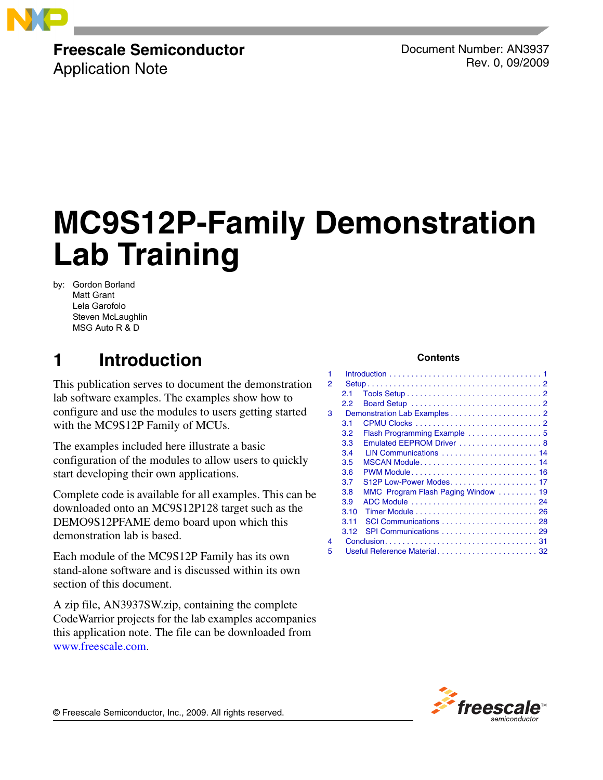

# **Freescale Semiconductor**

Application Note

Document Number: AN3937 Rev. 0, 09/2009

# **MC9S12P-Family Demonstration Lab Training**

by: Gordon Borland Matt Grant Lela Garofolo Steven McLaughlin MSG Auto R & D

# <span id="page-0-0"></span>**1 Introduction**

This publication serves to document the demonstration lab software examples. The examples show how to configure and use the modules to users getting started with the MC9S12P Family of MCUs.

The examples included here illustrate a basic configuration of the modules to allow users to quickly start developing their own applications.

Complete code is available for all examples. This can be downloaded onto an MC9S12P128 target such as the DEMO9S12PFAME demo board upon which this demonstration lab is based.

Each module of the MC9S12P Family has its own stand-alone software and is discussed within its own section of this document.

A zip file, AN3937SW.zip, containing the complete [CodeWarrior projects for the lab examples accompanies](http://www.freescale.com)  this application note. The file can be downloaded from www.freescale.com.

#### **Contents**

| 21   |                                     |
|------|-------------------------------------|
| 2.2  |                                     |
|      |                                     |
| 3.1  |                                     |
| 3.2  | Flash Programming Example 5         |
| 3.3  | Emulated EEPROM Driver 8            |
| 3.4  |                                     |
| 3.5  |                                     |
| 3.6  |                                     |
| 3.7  | S12P Low-Power Modes17              |
| 3.8  | MMC Program Flash Paging Window  19 |
| 3.9  |                                     |
| 3.10 |                                     |
| 3.11 |                                     |
| 3.12 |                                     |
|      |                                     |
|      | Useful Reference Material32         |
|      |                                     |



© Freescale Semiconductor, Inc., 2009. All rights reserved.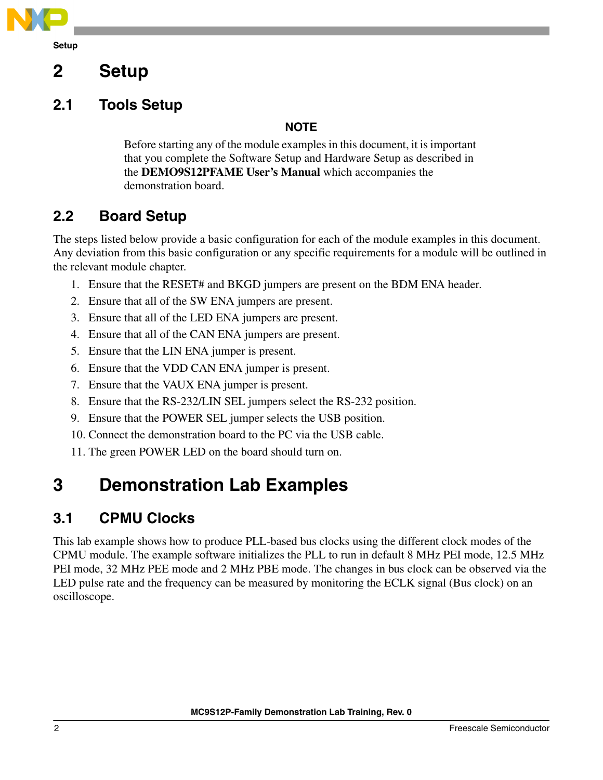

# <span id="page-1-0"></span>**2 Setup**

## <span id="page-1-1"></span>**2.1 Tools Setup**

#### **NOTE**

Before starting any of the module examples in this document, it is important that you complete the Software Setup and Hardware Setup as described in the **DEMO9S12PFAME User's Manual** which accompanies the demonstration board.

# <span id="page-1-2"></span>**2.2 Board Setup**

The steps listed below provide a basic configuration for each of the module examples in this document. Any deviation from this basic configuration or any specific requirements for a module will be outlined in the relevant module chapter.

- 1. Ensure that the RESET# and BKGD jumpers are present on the BDM ENA header.
- 2. Ensure that all of the SW ENA jumpers are present.
- 3. Ensure that all of the LED ENA jumpers are present.
- 4. Ensure that all of the CAN ENA jumpers are present.
- 5. Ensure that the LIN ENA jumper is present.
- 6. Ensure that the VDD CAN ENA jumper is present.
- 7. Ensure that the VAUX ENA jumper is present.
- 8. Ensure that the RS-232/LIN SEL jumpers select the RS-232 position.
- 9. Ensure that the POWER SEL jumper selects the USB position.
- 10. Connect the demonstration board to the PC via the USB cable.
- 11. The green POWER LED on the board should turn on.

# <span id="page-1-3"></span>**3 Demonstration Lab Examples**

# <span id="page-1-4"></span>**3.1 CPMU Clocks**

This lab example shows how to produce PLL-based bus clocks using the different clock modes of the CPMU module. The example software initializes the PLL to run in default 8 MHz PEI mode, 12.5 MHz PEI mode, 32 MHz PEE mode and 2 MHz PBE mode. The changes in bus clock can be observed via the LED pulse rate and the frequency can be measured by monitoring the ECLK signal (Bus clock) on an oscilloscope.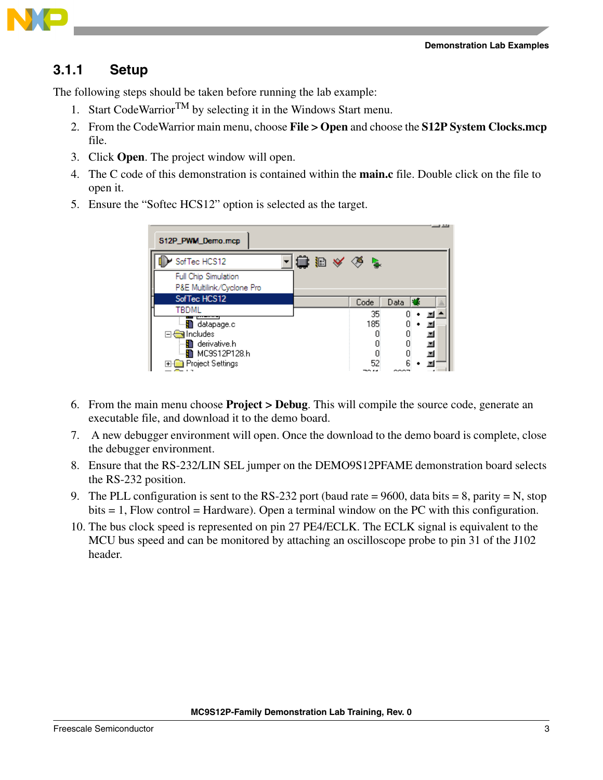

#### **3.1.1 Setup**

The following steps should be taken before running the lab example:

- 1. Start CodeWarrior<sup>TM</sup> by selecting it in the Windows Start menu.
- 2. From the CodeWarrior main menu, choose **File > Open** and choose the **S12P System Clocks.mcp** file.
- 3. Click **Open**. The project window will open.
- 4. The C code of this demonstration is contained within the **main.c** file. Double click on the file to open it.
- 5. Ensure the "Softec HCS12" option is selected as the target.

| S12P_PWM_Demo.mcp         |                |        |      |            |  |
|---------------------------|----------------|--------|------|------------|--|
| SofTec HCS12              | 1 <sup>2</sup> | kd ❤ ≮ |      |            |  |
| Full Chip Simulation      |                |        |      |            |  |
| P&E Multilink/Cyclone Pro |                |        |      |            |  |
| SofTec HCS12              |                |        | Code | w.<br>Data |  |
| <b>TBDML</b>              |                |        | 35.  |            |  |
| datapage.c                |                |        | 185  |            |  |
| ⊟ <del>©</del> Includes   |                |        |      |            |  |
| <b>M</b> derivative.h     |                |        |      |            |  |
| A MC9S12P128.h            |                |        |      |            |  |
| <b>Project Settings</b>   |                |        | 52   |            |  |

- 6. From the main menu choose **Project > Debug**. This will compile the source code, generate an executable file, and download it to the demo board.
- 7. A new debugger environment will open. Once the download to the demo board is complete, close the debugger environment.
- 8. Ensure that the RS-232/LIN SEL jumper on the DEMO9S12PFAME demonstration board selects the RS-232 position.
- 9. The PLL configuration is sent to the RS-232 port (baud rate  $= 9600$ , data bits  $= 8$ , parity  $= N$ , stop  $bits = 1$ , Flow control = Hardware). Open a terminal window on the PC with this configuration.
- 10. The bus clock speed is represented on pin 27 PE4/ECLK. The ECLK signal is equivalent to the MCU bus speed and can be monitored by attaching an oscilloscope probe to pin 31 of the J102 header.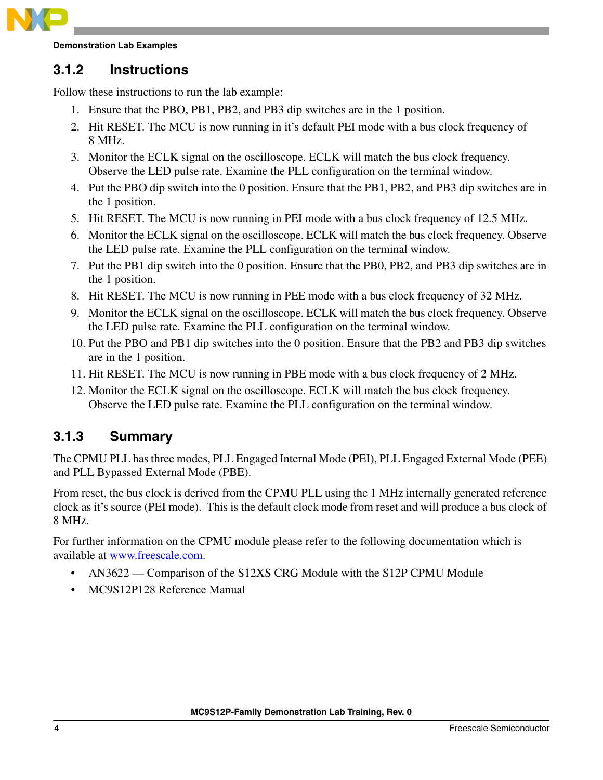

#### **3.1.2 Instructions**

Follow these instructions to run the lab example:

- 1. Ensure that the PBO, PB1, PB2, and PB3 dip switches are in the 1 position.
- 2. Hit RESET. The MCU is now running in it's default PEI mode with a bus clock frequency of 8 MHz.
- 3. Monitor the ECLK signal on the oscilloscope. ECLK will match the bus clock frequency. Observe the LED pulse rate. Examine the PLL configuration on the terminal window.
- 4. Put the PBO dip switch into the 0 position. Ensure that the PB1, PB2, and PB3 dip switches are in the 1 position.
- 5. Hit RESET. The MCU is now running in PEI mode with a bus clock frequency of 12.5 MHz.
- 6. Monitor the ECLK signal on the oscilloscope. ECLK will match the bus clock frequency. Observe the LED pulse rate. Examine the PLL configuration on the terminal window.
- 7. Put the PB1 dip switch into the 0 position. Ensure that the PB0, PB2, and PB3 dip switches are in the 1 position.
- 8. Hit RESET. The MCU is now running in PEE mode with a bus clock frequency of 32 MHz.
- 9. Monitor the ECLK signal on the oscilloscope. ECLK will match the bus clock frequency. Observe the LED pulse rate. Examine the PLL configuration on the terminal window.
- 10. Put the PBO and PB1 dip switches into the 0 position. Ensure that the PB2 and PB3 dip switches are in the 1 position.
- 11. Hit RESET. The MCU is now running in PBE mode with a bus clock frequency of 2 MHz.
- 12. Monitor the ECLK signal on the oscilloscope. ECLK will match the bus clock frequency. Observe the LED pulse rate. Examine the PLL configuration on the terminal window.

#### **3.1.3 Summary**

The CPMU PLL has three modes, PLL Engaged Internal Mode (PEI), PLL Engaged External Mode (PEE) and PLL Bypassed External Mode (PBE).

From reset, the bus clock is derived from the CPMU PLL using the 1 MHz internally generated reference clock as it's source (PEI mode). This is the default clock mode from reset and will produce a bus clock of 8 MHz.

[For further information on the CPMU module please refer to the following documentation which is](http://www.freescale.com)  [available at](http://www.freescale.com) www.freescale.com.

- AN3622 Comparison of the S12XS CRG Module with the S12P CPMU Module
- MC9S12P128 Reference Manual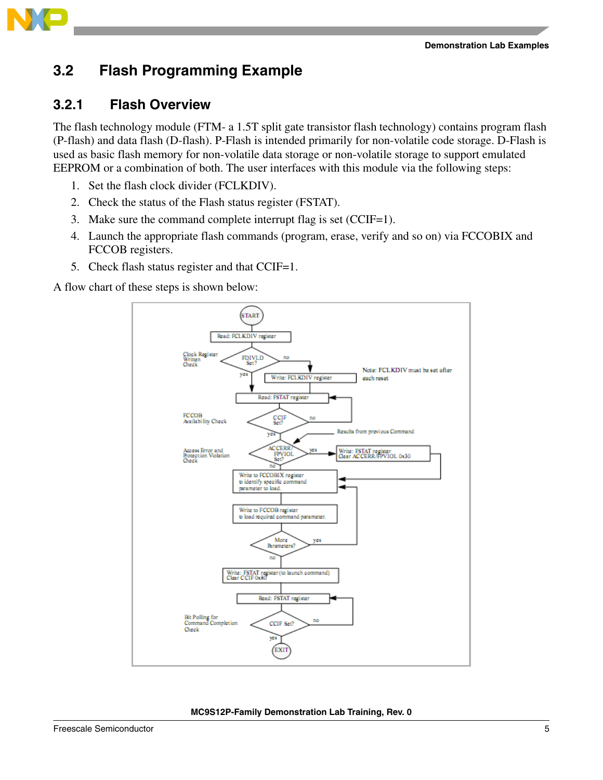

#### <span id="page-4-0"></span>**3.2 Flash Programming Example**

#### **3.2.1 Flash Overview**

The flash technology module (FTM- a 1.5T split gate transistor flash technology) contains program flash (P-flash) and data flash (D-flash). P-Flash is intended primarily for non-volatile code storage. D-Flash is used as basic flash memory for non-volatile data storage or non-volatile storage to support emulated EEPROM or a combination of both. The user interfaces with this module via the following steps:

- 1. Set the flash clock divider (FCLKDIV).
- 2. Check the status of the Flash status register (FSTAT).
- 3. Make sure the command complete interrupt flag is set (CCIF=1).
- 4. Launch the appropriate flash commands (program, erase, verify and so on) via FCCOBIX and FCCOB registers.
- 5. Check flash status register and that CCIF=1.

A flow chart of these steps is shown below:

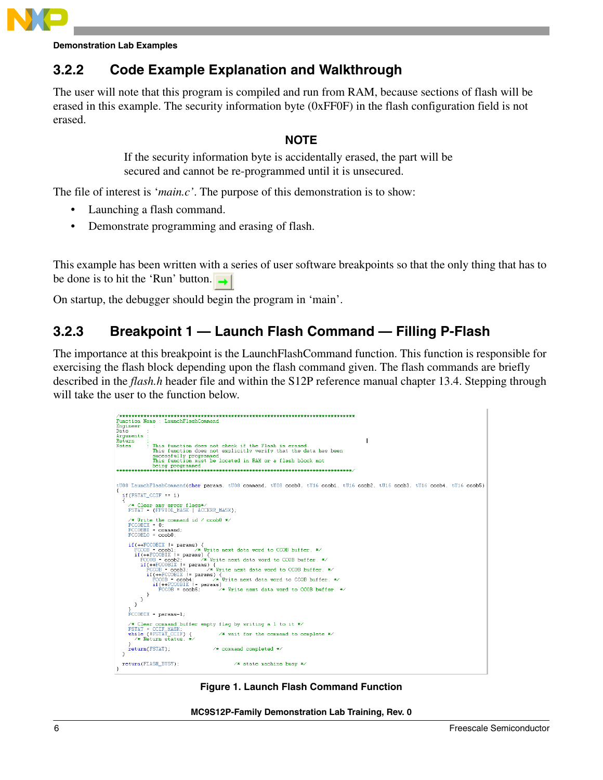

### **3.2.2 Code Example Explanation and Walkthrough**

The user will note that this program is compiled and run from RAM, because sections of flash will be erased in this example. The security information byte (0xFF0F) in the flash configuration field is not erased.

#### **NOTE**

If the security information byte is accidentally erased, the part will be secured and cannot be re-programmed until it is unsecured.

The file of interest is '*main.c'*. The purpose of this demonstration is to show:

- Launching a flash command.
- Demonstrate programming and erasing of flash.

This example has been written with a series of user software breakpoints so that the only thing that has to be done is to hit the 'Run' button.

On startup, the debugger should begin the program in 'main'.

### **3.2.3 Breakpoint 1 — Launch Flash Command — Filling P-Flash**

The importance at this breakpoint is the LaunchFlashCommand function. This function is responsible for exercising the flash block depending upon the flash command given. The flash commands are briefly described in the *flash.h* header file and within the S12P reference manual chapter 13.4. Stepping through will take the user to the function below.

| Function Name : LaunchFlashCommand<br>Engineer<br>Date<br>Arquments :<br>Return.<br>Notes:<br>: This function does not check if the Flash is erased.<br>This function does not explicitly verify that the data has been<br>sucessfully programmed.<br>This function must be located in RAM or a flash block not<br>being programmed.<br>*************************                                                                                                                                                                            |
|----------------------------------------------------------------------------------------------------------------------------------------------------------------------------------------------------------------------------------------------------------------------------------------------------------------------------------------------------------------------------------------------------------------------------------------------------------------------------------------------------------------------------------------------|
|                                                                                                                                                                                                                                                                                                                                                                                                                                                                                                                                              |
| tU08 LaunchFlashCommand(char params, tU08 command, tU08 ccob0, tU16 ccob1, tU16 ccob2, tU16 ccob3, tU16 ccob4, tU16 ccob5)                                                                                                                                                                                                                                                                                                                                                                                                                   |
| ₹.<br>$if(FSTAT_CCIF == 1)$                                                                                                                                                                                                                                                                                                                                                                                                                                                                                                                  |
| ₹.<br>/* Clear any error flags*/<br>FSTAT = (FPVIOL MASK   ACCERR MASK);                                                                                                                                                                                                                                                                                                                                                                                                                                                                     |
| $\times$ Write the command id $\times$ ccob0 */<br>$FCCOBIX = 0$ :<br>$FCCOBHI = command:$<br>$FCCOBLO = ccob0$ :                                                                                                                                                                                                                                                                                                                                                                                                                            |
| $if (++FCCOBIX \mid = \text{params})$ {<br>/* Write next data word to CCOB buffer. */<br>$FCCOB = coob1:$<br>$if (++FCCOBIX != params) { }$<br>$\text{FCCOB}$ = ccob2: $\overline{>}$ Write next data word to CCOB buffer. */<br>$if (++FCCOBIX != params)$ {<br>/* Write next data word to CCOB buffer. */<br>$FCCOB = ccob3$<br>$if (++FCCOBIX != params)$ {<br>$FCCOB = ccob4:$<br>/* Write next data word to CCOB buffer. */<br>$if (++FCCOBIX != params)$<br>FCCOB = ccob5: $\rightarrow$ Write next data word to CCOB buffer. */<br>-1 |
| -1<br>Y.<br>$FCCOBIX = params-1$ ;                                                                                                                                                                                                                                                                                                                                                                                                                                                                                                           |
| $\frac{x}{x}$ Clear command buffer empty flag by writing a 1 to it */<br>FSTAT = CCIF MASK;                                                                                                                                                                                                                                                                                                                                                                                                                                                  |
| while (!FSTAT_CCIF) { $\rightarrow$ wait for the command to complete $\ast$<br>/* Return status, */<br>Υ                                                                                                                                                                                                                                                                                                                                                                                                                                     |
| return(FSTAT); $\overline{\phantom{a}}$ /* command completed */<br>ł.                                                                                                                                                                                                                                                                                                                                                                                                                                                                        |
| return(FLASH BUSY);<br>$\times$ state machine busy */<br>÷.                                                                                                                                                                                                                                                                                                                                                                                                                                                                                  |



**MC9S12P-Family Demonstration Lab Training, Rev. 0**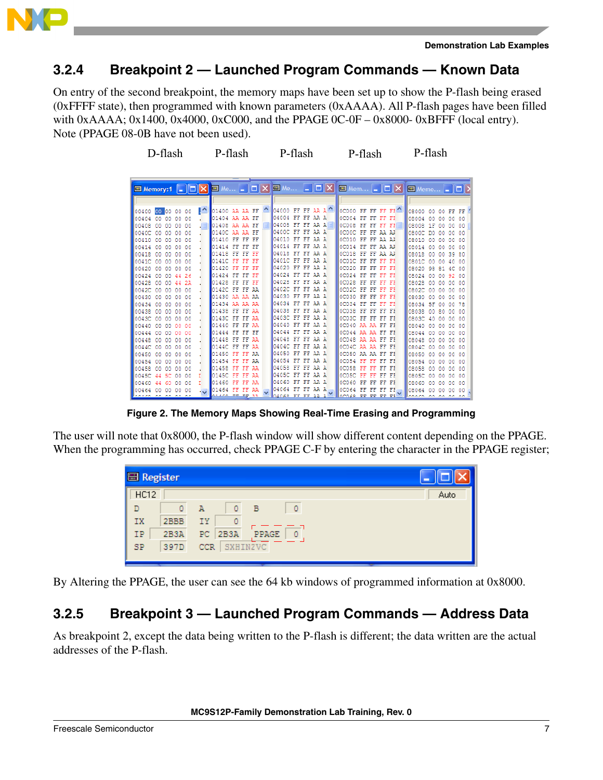

#### **3.2.4 Breakpoint 2 — Launched Program Commands — Known Data**

On entry of the second breakpoint, the memory maps have been set up to show the P-flash being erased (0xFFFF state), then programmed with known parameters (0xAAAA). All P-flash pages have been filled with  $0xAAA$ ;  $0x1400$ ,  $0x4000$ ,  $0xC000$ , and the PPAGE  $0C-0F - 0x8000 - 0xBFFF$  (local entry). Note (PPAGE 08-0B have not been used).

| D-flash                                             | P-flash                          | P-flash                                               | P-flash                                            | P-flash                                         |
|-----------------------------------------------------|----------------------------------|-------------------------------------------------------|----------------------------------------------------|-------------------------------------------------|
|                                                     |                                  |                                                       |                                                    |                                                 |
| <b>E Memory:1 REX EX EX EX EX EX EX EX EX EX EX</b> |                                  |                                                       |                                                    | Memo <b>AD</b>                                  |
|                                                     |                                  |                                                       |                                                    |                                                 |
| ⊩≙<br>00 00 00 00<br>100400                         |                                  | 01400 AA AA FF $\bigcirc$ 04000 FF FF AA A $\bigcirc$ | OCOOO FF FF FF FF <sup>10</sup>                    | losooo<br>nn.<br>00 FF FF                       |
| 100404<br>00                                        | 01404 AA AA FF                   | FF FF AA A<br>104004                                  | locoo4<br>FF<br>FF<br>FF                           | 08004<br>-nn                                    |
| E.<br>00<br>100408<br>nn.                           | 01408 AA AA FF                   | FF AA A<br>104008<br>FF                               | locoos<br>FF<br>FF FF<br>$F \overline{F}$ =        | 08008<br>1F<br>0000<br>nn.                      |
| 0000<br>10040C<br>00<br>nn.                         | 0140C AA AA FF                   | 04000<br>FF<br>FF AA A                                | locooc<br>FF AA AA<br>FF                           | 08000<br>nn<br>000000                           |
| 00 00 00 00<br>100410                               | 01410 FF FF<br>FF                | 04010<br>FF AA A<br>FF                                | OCO10 FF FF AA AA                                  | 08010<br>00.00.00<br>nn                         |
| 00<br>100414<br>nn.<br>nn.<br>nn                    | 01414 FF FF FF                   | 04014<br>FF FF AA A                                   | 00014<br>FF AA AA<br>FF                            | 08014<br>0000<br>n٥<br>nn.                      |
| 00<br>100418<br>00<br>00<br>nn.                     | 01418<br>FF FF FF                | 104018<br>FF FF AA A                                  | 00018<br>FF<br>FF AA AA                            | 08018<br>00<br>00<br>39 80                      |
| 00.00<br>10041C<br>-nn<br>nn                        | 0141C<br>ਸਸ ਸਸ ਸਸ                | 0401C<br>FF FF AA A                                   | loco1c<br>FF FF FF<br>FF.                          | loso1C<br>nn<br>00.<br>40.00                    |
| 100420<br>00<br>nn                                  | FF<br>01420<br>ਸ਼ਸ<br>FF         | 04020 FF FF AA A                                      | 100020<br>FF<br>FF<br>FF<br>FF                     | 08020<br>98<br>81<br>4C 00                      |
| 44 26<br>100424<br>nn.<br>00.                       | FF<br>01424<br>FF<br>FF          | 04024<br>FF AA A<br>FF                                | 0C024<br>FF FF<br>FF                               | 08024<br>00<br>92.00<br>00                      |
| 22<br>100428<br>nn.                                 | 01428 FF<br>FF FF                | 04028<br>FF<br>FF AA A                                | OCO28 FF FF FF<br>FF                               | 08028<br>nn<br>0000<br>nn.                      |
| 0000<br>10042C<br>nn.                               | 0142C FF FF AA                   | 0402C FF FF AA A                                      | OCO2C FF FF FF<br>FF                               | 0802C<br>-nn<br>00 00 00                        |
| 00<br>100430<br>nn                                  | 01430 AA AA AA                   | 04030 FF FF AA A<br>04034<br>FF FF AA A               | OCO30 FF FF FF<br>FF                               | 08030<br>n٥<br>00.00<br>nn.                     |
| 00<br>100434<br>۵O                                  | 01434 AA AA AA<br>01438          | 04038<br>FF FF AA A                                   | 00034<br>मन मन मन<br>FF<br>00038                   | 08034<br>58<br>00.78<br>nn.                     |
| -00<br>100438<br>nn<br>nn<br>nn.<br>nn              | FF FF AA<br>0143C<br>FF<br>FF AA | 0403C<br>FF FF AA A                                   | FF<br>FF FF<br>FF<br>0C03C<br>FF<br>FF<br>FF<br>FF | 08038<br>80<br>0000<br>n٥<br>lososc<br>40<br>nn |
| 100430<br>nn<br>1004<br>00<br>40                    | 01440<br>FF<br>-AA<br>FF         | 04040<br>FF AA A<br>FF                                | l0C040<br>ΆΆ<br>A A<br>FF<br>FF                    | 00.00<br>08040<br>n٥<br>n٥<br>0000              |
| 00444<br>0000<br>nn.<br>nn.                         | 01444<br>FF FF<br>FF             | FF AA A<br>04044<br>FF                                | 0C044<br>AA AA FF<br>FF                            | 08044<br>nn<br>00 00<br>nn.                     |
| 00.00.00.00<br>100448                               | 01448 FF FF AA                   | 04048<br>FF AA A<br>FF                                | OCO48 AA AA FF<br>FF                               | 08048<br>nn<br>00 00 00                         |
| 00,00<br>10044C<br>nn.<br>nn.                       | 01440<br>FF<br>FF AA             | 0404C FF FF AA A                                      | OCO4C AA AA FF<br>FE                               | 0804C<br>00.00<br>nn<br>nn                      |
| 00<br>100450<br>nn.<br>00 <sup>o</sup><br>nn.       | 01450<br>FF FF AA                | 04050 FF FF AA A                                      | OCO50 AA AA FF<br>FF                               | 08050<br>٥o<br>0000<br>00                       |
| 00<br>100454<br>nn.<br>nn.<br>nn.                   | 01454<br>FF FF AA                | 04054<br>FF FF AA A                                   | 0C054<br>मम मम मम<br>FF                            | 08054<br>nn<br>00,00<br>00.                     |
| 00<br>100458                                        | FF AA<br>01458<br>FF.            | 04058 FF FF AA A                                      | locoss<br>FF<br>ਸਸ<br>FF<br>FF                     | 08058<br>n٥<br>0000<br>nn.                      |
| 10045C<br>00                                        | 0145C                            | 04050<br>FF FF AA A                                   | 0C05C<br>FF<br>FF                                  | 08050<br>nn<br>nn.<br>- 00<br>nn                |
| nn<br>100460                                        | 01460<br>AA                      | 04060 FF FF<br>AA A                                   | 00060<br>FF<br>FF<br>FF                            | 08060<br>n٥<br>- 00                             |
| 100464<br>. oo oo oo oo<br>$\overline{\mathbf{v}}$  | 01464<br>AA                      | 04064 FF FF AA A                                      | OCO64 FF FF<br>FF                                  | 08064<br>nn<br>- 00                             |
|                                                     |                                  | <b>DADAS FF FF AA</b>                                 | locose FF.                                         |                                                 |

**Figure 2. The Memory Maps Showing Real-Time Erasing and Programming**

The user will note that 0x8000, the P-flash window will show different content depending on the PPAGE. When the programming has occurred, check PPAGE C-F by entering the character in the PPAGE register;

| <b>Register</b> |      |                             |      |
|-----------------|------|-----------------------------|------|
| <b>HC12</b>     |      |                             | Auto |
| D               |      | 0<br>$\mathbf{A}$<br>٥<br>в |      |
| IX              | 2BBB | IΥ<br>0                     |      |
| ΙP              | 2B3A | $PC$ 2B3A<br>PPAGE<br>٥     |      |
| <b>SP</b>       | 397D | CCR.<br>SXHINZVC            |      |
|                 |      |                             |      |

By Altering the PPAGE, the user can see the 64 kb windows of programmed information at 0x8000.

#### **3.2.5 Breakpoint 3 — Launched Program Commands — Address Data**

As breakpoint 2, except the data being written to the P-flash is different; the data written are the actual addresses of the P-flash.

**MC9S12P-Family Demonstration Lab Training, Rev. 0**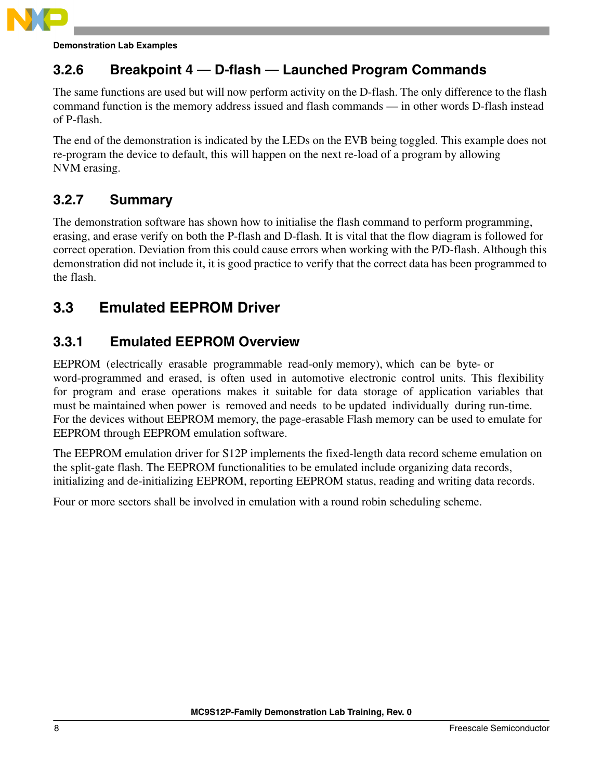

### **3.2.6 Breakpoint 4 — D-flash — Launched Program Commands**

The same functions are used but will now perform activity on the D-flash. The only difference to the flash command function is the memory address issued and flash commands — in other words D-flash instead of P-flash.

The end of the demonstration is indicated by the LEDs on the EVB being toggled. This example does not re-program the device to default, this will happen on the next re-load of a program by allowing NVM erasing.

### **3.2.7 Summary**

The demonstration software has shown how to initialise the flash command to perform programming, erasing, and erase verify on both the P-flash and D-flash. It is vital that the flow diagram is followed for correct operation. Deviation from this could cause errors when working with the P/D-flash. Although this demonstration did not include it, it is good practice to verify that the correct data has been programmed to the flash.

### <span id="page-7-0"></span>**3.3 Emulated EEPROM Driver**

### **3.3.1 Emulated EEPROM Overview**

EEPROM (electrically erasable programmable read-only memory), which can be byte- or word-programmed and erased, is often used in automotive electronic control units. This flexibility for program and erase operations makes it suitable for data storage of application variables that must be maintained when power is removed and needs to be updated individually during run-time. For the devices without EEPROM memory, the page-erasable Flash memory can be used to emulate for EEPROM through EEPROM emulation software.

The EEPROM emulation driver for S12P implements the fixed-length data record scheme emulation on the split-gate flash. The EEPROM functionalities to be emulated include organizing data records, initializing and de-initializing EEPROM, reporting EEPROM status, reading and writing data records.

Four or more sectors shall be involved in emulation with a round robin scheduling scheme.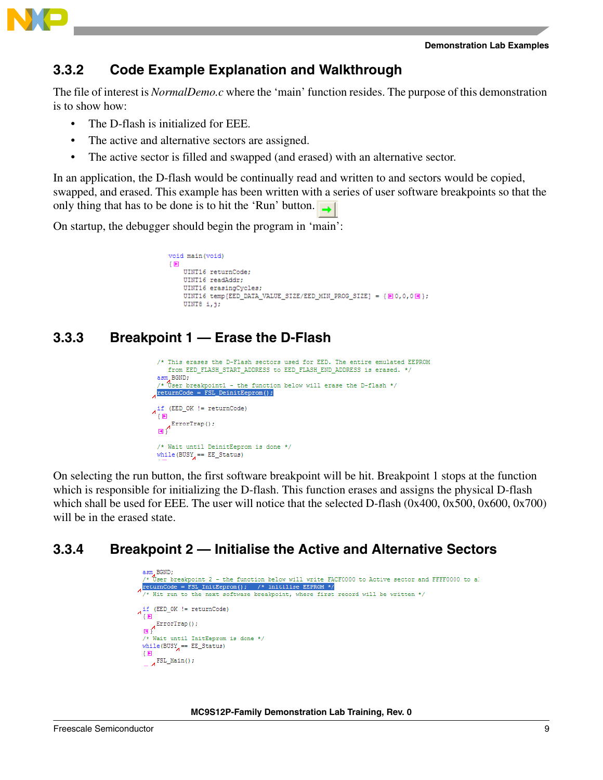



#### **3.3.2 Code Example Explanation and Walkthrough**

The file of interest is *NormalDemo.c* where the 'main' function resides. The purpose of this demonstration is to show how:

- The D-flash is initialized for EEE.
- The active and alternative sectors are assigned.
- The active sector is filled and swapped (and erased) with an alternative sector.

In an application, the D-flash would be continually read and written to and sectors would be copied, swapped, and erased. This example has been written with a series of user software breakpoints so that the only thing that has to be done is to hit the 'Run' button.

On startup, the debugger should begin the program in 'main':

| void main (void)<br>不同                                                        |
|-------------------------------------------------------------------------------|
| UINT16 returnCode:                                                            |
| UINT16 readAddr;                                                              |
| UINT16 erasingCycles;                                                         |
| UINT16 temp[EED DATA VALUE SIZE/EED MIN PROG SIZE] = { $\blacksquare$ 0,000}; |
| UINT8 i.i.                                                                    |

### **3.3.3 Breakpoint 1 — Erase the D-Flash**

```
/* This erases the D-Flash sectors used for EED. The entire emulated EEPROM
      from EED_FLASH_START_ADDRESS to EED_FLASH_END_ADDRESS is erased. */
 asm_BGND;<br>
A User breakpoint1 - the function below will erase the D-flash */<br>
\frac{1}{\sqrt{1}} variance be seekpoint1 - the function below will erase the D-flash */
 returnCode = FSL DeinitEeprom();\overline{A} if (EED_OK != returnCode)
 \left(\begin{array}{c}\mathbb{E}\\ \mathbb{E}\end{array}\right) ErrorTrap();
 /* Wait until DeinitEeprom is done */
 while (BUSY == EE_5tatus)
```
On selecting the run button, the first software breakpoint will be hit. Breakpoint 1 stops at the function which is responsible for initializing the D-flash. This function erases and assigns the physical D-flash which shall be used for EEE. The user will notice that the selected D-flash (0x400, 0x500, 0x600, 0x700) will be in the erased state.

### **3.3.4 Breakpoint 2 — Initialise the Active and Alternative Sectors**

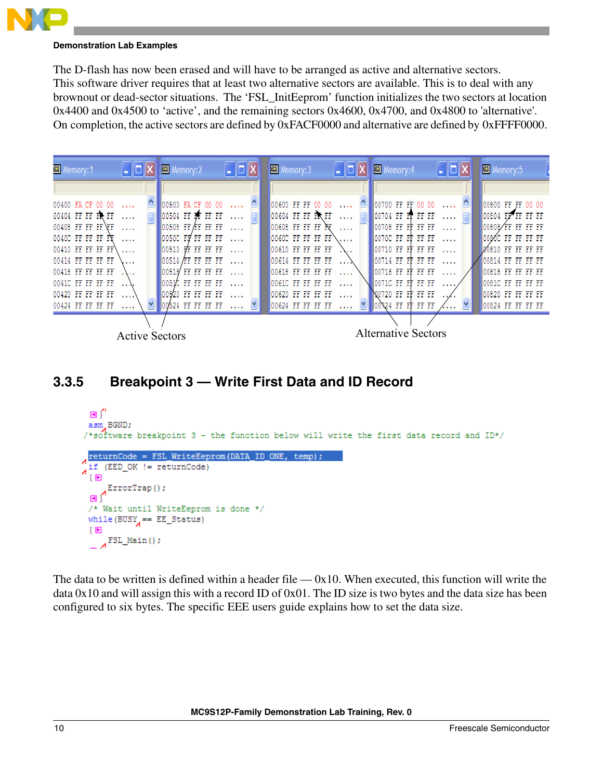

The D-flash has now been erased and will have to be arranged as active and alternative sectors. This software driver requires that at least two alternative sectors are available. This is to deal with any brownout or dead-sector situations. The 'FSL\_InitEeprom' function initializes the two sectors at location 0x4400 and 0x4500 to 'active', and the remaining sectors 0x4600, 0x4700, and 0x4800 to 'alternative'. On completion, the active sectors are defined by 0xFACF0000 and alternative are defined by 0xFFFF0000.



#### **3.3.5 Breakpoint 3 — Write First Data and ID Record**

```
回了
 asm, BGND;
/*software breakpoint 3 - the function below will write the first data record and ID*/
returnCode = FSL_WriteEeprom(DATA_ID_ONE, temp);
 if (EED_OK != returnCode)
Ā
 \{E\}ErrorTrap();
 画介
 /* Wait until WriteEeprom is done */
 while (BUSY<sub>4</sub> == EE_5tatus)
 \{E\}\overline{\mathcal{M}}^{\text{FSL\_Main}}() ;
```
The data to be written is defined within a header file  $-0x10$ . When executed, this function will write the data 0x10 and will assign this with a record ID of 0x01. The ID size is two bytes and the data size has been configured to six bytes. The specific EEE users guide explains how to set the data size.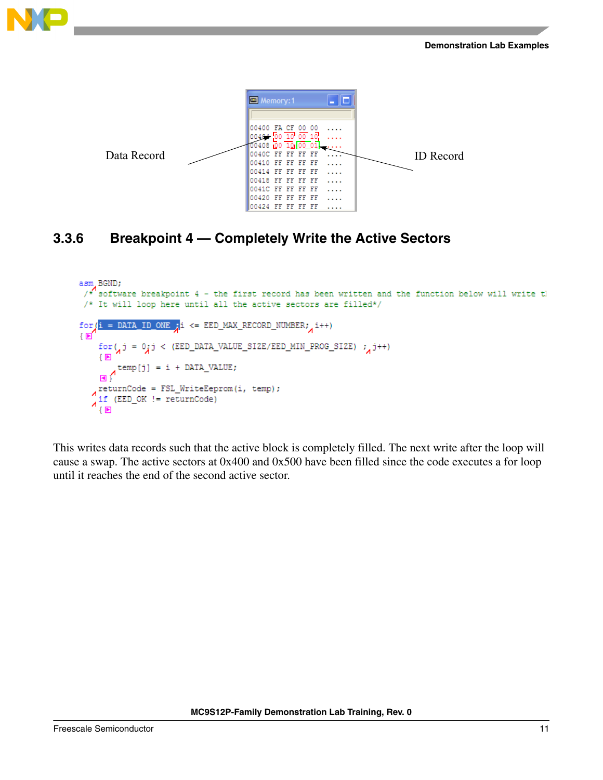



### **3.3.6 Breakpoint 4 — Completely Write the Active Sectors**

```
asm. BGND;
/* software breakpoint 4 - the first record has been written and the function below will write th
 /* It will loop here until all the active sectors are filled*/
for (i = DATA ID ONE j i \leftarrow EEDMAX\_RECORD_NUMBER; i++)但
    for (j = 0j) < (EED_DATA_VALUE_SIZE/EED_MIN_PROG_SIZE) ; j++)
    \overline{\mathbf{E}}{E \choose E} temp[j] = i + DATA_VALUE;
  \Lambda returnCode = FSL_WriteEeprom(i, temp);
    if (EED_OK != returnCode)
  \mathcal{A}^\mathtt{lf}_{\{\boxplus\}}
```
This writes data records such that the active block is completely filled. The next write after the loop will cause a swap. The active sectors at 0x400 and 0x500 have been filled since the code executes a for loop until it reaches the end of the second active sector.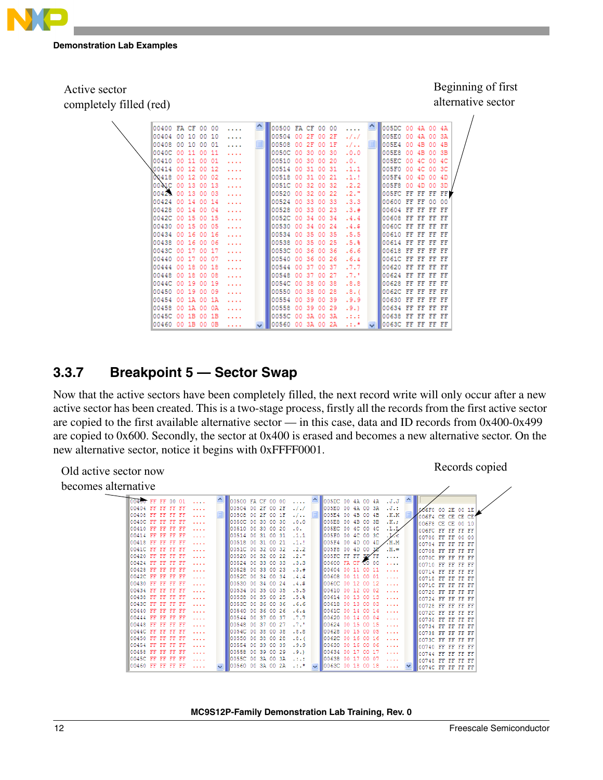

Beginning of first Active sector alternative sector completely filled (red) 00400 FA CF 00 00  $\blacktriangle$ 00500 FA CF 00 00  $\hat{\phantom{a}}$ 005DC 00 4A 00 4A **Security**  $\sim$  100  $\sim$ 00404 00 10 00 10 00504 00 2F 00 2F 005E0 00 4A 00 3A  $\ldots$  $.1.1$ 00408 00 10 00 01 00508 00 2F 00 1F 005E4 00 4B 00 4B  $\ldots$  $\overline{1}$ . 0040C 00 11 00 11 0050C 00 30 00 30 005E8 00 4B 00 3B  $\sim 100$  $.0.0$ 00410 00 11 00 01 00510 00 30 00 20  $.0.$ 005EC 00 4C 00 4C  $\sim 100$ 00414 00 12 00 12 00514 00 31 00 31 005F0 00 4C 00 3C  $.1.1$  $\sim 100$ 00418 00 12 00 02 00518 00 31 00 21  $.1.1$ 005F4 00 4D 00 4D  $1.1.1$ 0041C 00 13 00 13 0051C 00 32 00 32 005F8 00 4D 00 3D  $.2.2$  $\sim 100$ 00428 00 13 00 03  $.2.$ " 005FC FF FF FF FF 00520 00 32 00 22  $\sim 100$ 00424 00 14 00 14 00524 00 33 00 33 00600 FF FF 00  $\sim$   $\sim$   $\sim$  $.3.3$  $00$ 00428 00 14 00 04 00528 00 33 00 23  $.3.4$ 00604 FF FF FF FF  $\ldots$ 0042C 00 15 00 15 0052C 00 34 00 34 00608 FF FF FF FF  $.4.4$  $\sim$   $\sim$   $\sim$ 00430 00 15 00 05 00530 00 34 00 24 0060C FF FF FF FF  $.4.$  $\sim 100$ 00434 00 16 00 16 00534 00 35 00 35  $.5.5$ 00610 FF FF FF FF  $\cdots$ 00438 00 16 00 06 00538 00 35 00 25  $.5.8$ 00614 FF FF FF FF  $\sim 100$ 0043C 00 17 00 17 0053C 00 36 00 36 00618 FF FF FF FF  $.6.6$  $\sim 100$ 00440 00 17 00 07 00540 00 36 00 26 0061C FF FF FF FF  $.6.5$  $\ldots$ 00544 00 37 00 37 00444 00 18 00 18  $.7.7$ 00620 FF FF FF FF  $\sim 100$ 00448 00 18 00 08 00548 00 37 00 27  $.7.1$ 00624 FF FF FF FF  $\sim$   $\sim$   $\sim$ 0044C 00 19 00 19 0054C 00 38 00 38 00628 FF FF FF FF  $.8.8$  $\sim 100$ 00450 00 19 00 09 00550 00 38 00 28  $.8. ($ 0062C FF FF FF FF  $\ldots$ 00554 00 39 00 39 00454 00 1A 00 1A 00630 FF FF FF FF  $\ldots$  $.9.9$ 00458 00 1A 00 0A 00558 00 39 00 29  $.9.$ 00634 FF FF FF FF  $\sim$   $\sim$   $\sim$ 0045C 00 1B 00 1B  $\ldots$ 0055C 00 3A 00 3A 1111 00638 FF FF FF FF 00460 00 1B 00 0B 00560 00 3A 00 2A  $11.5$ 0063C FF FF FF FF 2227

### **3.3.7 Breakpoint 5 — Sector Swap**

Now that the active sectors have been completely filled, the next record write will only occur after a new active sector has been created. This is a two-stage process, firstly all the records from the first active sector are copied to the first available alternative sector — in this case, data and ID records from 0x400-0x499 are copied to 0x600. Secondly, the sector at 0x400 is erased and becomes a new alternative sector. On the new alternative sector, notice it begins with 0xFFFF0001.



becomes alternative

| vi naci v v                  |                                                |                                                               |                    |
|------------------------------|------------------------------------------------|---------------------------------------------------------------|--------------------|
| 00400 FF FF 00 01<br>1.1.1.1 | ◠<br>W00500 FA CF<br>0000<br>1.1.1             | #005DC 00 4A 00 4A<br>. J.J                                   |                    |
| 00404 FF FF FF FF<br>1.1.1.1 | 100504 00 2F 00<br>2F<br>.1.1                  | J <sub>1</sub><br>1005E0 00<br>4A 00 3A                       | 006F0 00 2E 00 1E  |
| 00408 FF FF FF FF<br>1.1.1.1 | 00508 00 2F 00 1F<br>$\cdot$ / $\cdot$ $\cdot$ | ,K.K<br>#005E4 00 4B 00 4B                                    | 006F4 CE CE CE CE  |
| 0040C FF FF FF FF<br>1.1.1   | 10050C 00 30 00 30<br>.0.0                     | ∥005E8 00 4B 00 3B<br>$K_{\rm eff}$                           | 006F8 CE CE 00 10  |
| 00410 FF FF FF FF<br>1.1.1   | 00510 00 30 00 20<br>.0.                       | $005EC$ 00 4C 00 4C<br>.L.L                                   | 006FC FF FF FF FF  |
| 00414 FF FF FF FF<br>1.111   | ⊪00514 00 31 00<br>.1.1<br>-31                 | ⊪005F0 00 4C 00 3C<br>.L. <                                   | 00700 FF FF 00 00  |
| 00418 FF FF FF FF            | W00518 00 31 00<br>.1.1<br>-21                 | WOO5F4 00 4D 00 4D<br>.M.M                                    | 00704 FF FF FF FF  |
| 0041C FF FF FF FF<br>1.1.1.1 | .2.2<br>∥0051C 00 32 00 32                     | 005F8 00 4D 00 32<br>$M =$                                    | 100708 FF FF FF FF |
| 00420 FF FF FF FF<br>1.1.1.1 | $.2.$ "<br>100520 00 32 00<br>-22              | <b>BOOSEC FF FF EE/FF</b><br><b><i><u>ALCOHOL: 40</u></i></b> | 0070C FF FF FF FF  |
| 00424 FF FF FF FF<br>1.1.1   | .3.3<br>⊪00524 00 33 00<br>-33                 | 100600 FA CF 00 00<br>1.1.1.1                                 | 00710 FF FF FF FF  |
| 00428 FF FF FF FF            | ⊪00528 00 33 00 23<br>.3.4                     | ilooso4 oo 11 oo 11<br>1.1.1.1                                | 00714 FF FF FF FF  |
| 0042C FF FF FF FF<br>1.1.1.1 | 0052C 00 34 00 34<br>.4.4                      | ion608 00 11 00 01<br>$\cdots$                                | 00718 FF FF FF FF  |
| 00430 FF FF FF FF<br>1.1.1   | 00530 00 34 00<br>.4.5<br>-24                  | ⊪0060C 00 12 00 12<br>1.1.1.1                                 | 0071C FF FF FF FF  |
| 00434 FF FF FF FF<br>1.1.1.1 | 100534 00 35 00 35<br>.5.5                     | ∭00610 00 12 00 02<br>$\cdots$                                | 00720 FF FF FF FF  |
| 00438 FF FF FF FF            | ∥00538 00 35 00<br>.5.8<br>-25                 | ⊪00614 00 13 00 13<br>1.1.1.1                                 | 00724 FF FF FF FF  |
| 0043C FF FF FF FF<br>1.1.1   | 10053C 00 36 00 36<br>.6.6                     | ⊪00618 00 13 00 03<br>1.1.1.1                                 | 00728 FF FF FF FF  |
| 00440 FF FF FF FF<br>1.1.1.1 | 100540 00 36 00<br>.6.5<br>-26                 | ioosic oo 14 oo 14<br>1.1.1.1                                 | 0072C FF FF FF FF  |
| 00444 FF FF FF FF<br>1.1.1   | .7.7<br>100544 00 37 00<br>-37                 | ∭00620 00 14 00 04<br>1.1.1.1                                 | 00730 FF FF FF FF  |
| 00448 FF FF FF FF            | ⊪00548 OO 37<br>.7.1<br>00<br>-27              | ⊪00624 00 15 00 15<br>1.1.1.1                                 | 00734 FF FF FF FF  |
| 0044C FF FF FF FF<br>1.1.1   | ∥0054C 00 38 00 38<br>.8.8                     | ⊪00628 00 15 00 05<br>1.1.1.1                                 | 00738 FF FF FF FF  |
| 00450 FF FF FF FF<br>1.1.1   | 100550 00 38 00<br>.8.0<br>-28                 | ∭0062C 00 16 00 16<br>1.1.1.1                                 | 0073C FF FF FF FF  |
| 00454 FF FF FF FF<br>1.1.1   | ⊪00554 00 39 00<br>.9.9<br>-39                 | ∭00630 00 16 00 06<br>1.1.1.1                                 | 00740 FF FF FF FF  |
| 00458 FF FF FF FF<br>1.1.1.1 | ⊪00558 00 39 00<br>.9.1<br>-29                 | ⊪00634 00 17 00 17<br>1.1.1.1                                 | 00744 FF FF FF FF  |
| 0045C FF FF FF FF<br>1.1.1   | 0055C 00 3A 00<br>-3A<br>$-1 - 1$              | ⊪00638 00 17 00 07<br>1.1.1                                   | 00748 FF FF FF FF  |
| 00460 FF FF FF FF<br>1.1.1.1 | 100560 00 3A 00 2A<br>a sa ta                  | ⊪0063C 00 18 00 18<br>.                                       | 0074C FF FF FF FF  |

**MC9S12P-Family Demonstration Lab Training, Rev. 0**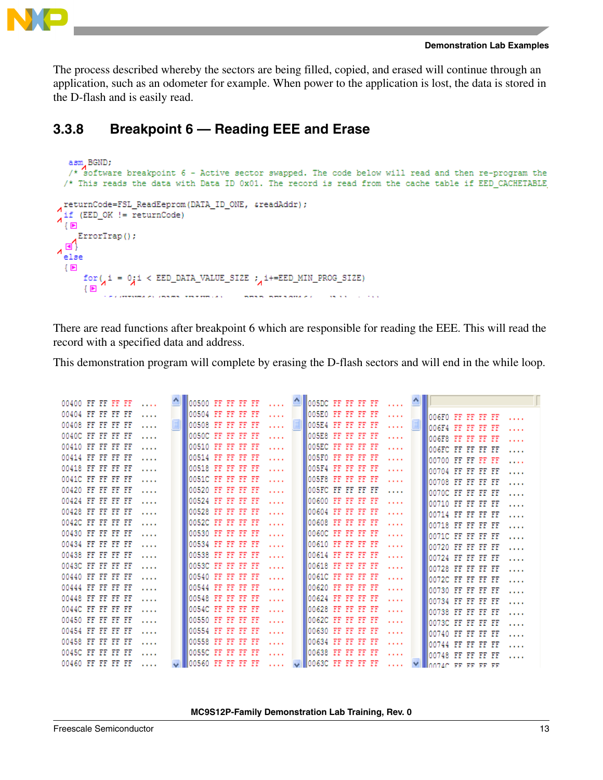

The process described whereby the sectors are being filled, copied, and erased will continue through an application, such as an odometer for example. When power to the application is lost, the data is stored in the D-flash and is easily read.

#### **3.3.8 Breakpoint 6 — Reading EEE and Erase**

```
asm, BGND;
    /* Software breakpoint 6 - Active sector swapped. The code below will read and then re-program the
   /* This reads the data with Data ID 0x01. The record is read from the cache table if EED CACHETABLE
TeturnCode=FSL_ReadEeprom(DATA_ID_ONE, sreadAddr);
   if (EED_OK != returnCode)
A.
   \left\{ \right. \boxplus\begin{picture}(120,10) \put(0,0){\line(1,0){15}} \put(15,0){\line(1,0){15}} \put(15,0){\line(1,0){15}} \put(15,0){\line(1,0){15}} \put(15,0){\line(1,0){15}} \put(15,0){\line(1,0){15}} \put(15,0){\line(1,0){15}} \put(15,0){\line(1,0){15}} \put(15,0){\line(1,0){15}} \put(15,0){\line(1,0){15}} \put(15,0){\line(1,0){15}} \put(15,0){\line(\{ \boxdot \}for (i = 0, i < EED\_DATA\_VALUE\_SIZE ; i += EED\_MIN\_PROG\_SIZE){ l⊟
                  The distance of colors, the three cases in the contract of the color
                                                                                                           Service Contractor
```
There are read functions after breakpoint 6 which are responsible for reading the EEE. This will read the record with a specified data and address.

This demonstration program will complete by erasing the D-flash sectors and will end in the while loop.

| 00400 FF FF<br>FF FF<br>.              | 00500<br>EF BR<br>FF<br>FF.             | .     | loospc<br>FF FF<br>FF FF<br>.           | ∧ |                                        |
|----------------------------------------|-----------------------------------------|-------|-----------------------------------------|---|----------------------------------------|
| 00404 FF<br>FF<br>FF<br>FF<br>.        | 00504<br>EF<br>FF.<br>ЕF<br><b>H.H.</b> | .     | 1005E.O<br>FF<br>FF<br>FF<br>ЕF<br>.    |   | 006F0 FF FF FF FF<br>.                 |
| 00408 FF<br>FF<br>FF<br>FF<br>1.1.1    | 100508<br>EF<br>FF<br>FF.<br>FЕ         | .     | 1005E4<br>FF<br>FF<br>FF<br>ЕF<br>.     |   | 006F4<br>ਸਸ<br>FF<br>КK<br>ĦЕ<br>.     |
| 0040C FF<br>FF<br>FF.<br>- FF<br>1.1.1 | 0050C<br>- F.F<br>FF FF<br>FF.          | .     | 1005E8<br>FF<br>FF<br>FF.<br>- EF<br>.  |   | 006F8<br>FF.<br>FF.<br>FF<br>EF<br>.   |
| 00410 FF<br>FF<br>FF FF<br>.           | 100510 FF<br>FF.<br>FF FF               | .     | 1005EC<br>FF FF<br>FF BF<br>.           |   | 006FC FF<br>FF<br>FF<br>FF             |
| 00414 FF<br>FF<br>FF<br>FF<br>1.1.1    | 00514 FF<br>FF.<br>FF FF                | .     | 1005FO.<br>দদ দদ<br>FF FF<br>.          |   | .<br>FF<br>00700<br>FF<br>FF<br>FF     |
| 00418 FF FF FF FF<br>1.1.1             | 100518 FF<br>FF FF<br>FF.               | .     | 1005F4 FF FF<br>FF FF<br>.              |   | .<br>00704<br>FF<br>FF<br>FF<br>FF     |
| 0041C FF FF FF FF<br>.                 | 10051C<br>FF.<br>FF.<br>FF.<br>- FF     | .     | 1005F8<br>FF<br>FF<br>FF.<br>. FF<br>.  |   | 1.1.1<br>FF<br>00708<br>FF<br>FF<br>FF |
| 00420 FF FF FF FF<br>1.1.1             | 100520 FF<br>FF FF<br>FF.               | .     | 1005FC<br>FF FF<br>FF FF<br>.           |   | .<br>0070C<br>FF<br>FF<br>FF<br>FF     |
| 00424 FF<br>FF<br>FF FF<br>1.1.1       | 100524<br>FF.<br>FF.<br>FF.<br>FF       | .     | FF<br>100600<br>FF<br>FF.<br>FF<br>.    |   | .<br>00710<br>FF<br>FF<br>FF<br>FF     |
| 00428 FF<br>FF FF FF<br>1.1.1          | 100528.<br>FF.<br>FF.<br>FF<br>FF.      | .     | FF<br>FF<br>FF<br>100604<br>EF<br>.     |   | .                                      |
| 0042C<br>FF<br>FF<br>FF<br>FF<br>1.1.1 | 10052C<br>FF.<br>FF.<br>FF<br>FF.       | .     | 100608<br>ЕF<br>FF.<br>FF.<br>ЕF<br>.   |   | 00714 FF<br>FF<br>FF<br>FF.<br>.       |
| 00430 FF<br>FF<br>FF FF<br>1.1.1       | 100530<br>FF.<br>FF FF<br>FF.           | .     | 10060C<br>FF<br>FF<br>FF.<br>FF         |   | 00718<br>FF<br>FF<br>FF<br>FF<br>.     |
| 00434 FF<br>FF<br>FF<br>FF             | 00534<br>ਸ਼ਾਸ<br>- FF<br>FF.<br>FF.     |       | .<br>100610.<br>FF.<br>FF.<br>FF.<br>FF |   | FF<br>0071C<br>FF<br>FF<br>FF<br>1.1.1 |
| .<br>00438 FF<br>FF<br>FF<br>FF        | 100538<br>FF.<br>FF FF FF               | .     | .<br>100614<br>FF.<br>FF<br>FF.<br>EF   |   | FF<br>00720<br>FF<br>FF.<br>FF<br>.    |
| 1.1.1<br>0043C FF                      | 0053C<br>FF.                            | .     | .<br>100618                             |   | 00724 FF<br>FF<br>FF FF<br>.           |
| FF<br>ΕF<br>FF<br>.                    | FF FF<br>FF.                            | .     | FF FF<br>FF.<br>FF<br>.                 |   | 00728 FF<br>FF<br>FF<br>FF<br>.        |
| 00440 FF<br>FF.<br>FF FF<br>1.1.1      | 100540<br>FF.<br>FF.<br>FF FF           | .     | 10061C<br>FF FF<br>FF.<br>ЕF<br>.       |   | 0072C<br>FF<br>FF<br>FF<br>FF<br>.     |
| 00444 FF<br>FF<br>FF.<br>FF<br>.       | 00544<br>FF.<br>ЕF<br>FF.<br>FF.        | .     | 100620.<br>FF FF<br>FF.<br>ЕF<br>.      |   | 00730 FF<br>FF<br>FF<br>FF<br>.        |
| 00448 FF FF FF FF<br>1.1.1             | 100548<br>FF.<br>FF FF<br>FF.           | .     | 100624<br>FF FF<br>FF.<br>EF<br>.       |   | FF<br>00734 FF<br>FF<br>FF<br>1.1.1    |
| 0044C FF FF<br>FF FF<br>               | 10054C<br>FF.<br>FF.<br>FF<br>FF.       | .     | 100628 FF FF<br>FF<br>EF<br>.           |   | 00738 FF<br>FF<br>FF FF<br>.           |
| 00450 FF<br>FF<br>FF<br>FF<br>1.1.1    | 00550<br>FF<br>FF.<br>FF.<br>FF.        | .     | 10062C<br>FF BR<br>FF.<br>ЕF<br>.       |   | 0073C FF FF<br>FF BF<br>.              |
| 00454 FF<br>FF<br>FF<br>FF<br>1.1.1    | 00554<br>FF<br>FF.<br>FF.<br>FF.        | 1.1.1 | FF FF<br>100630<br>FF<br>EF<br>.        |   | 00740 FF<br>FF<br>FF<br>FF<br>.        |
| 00458 FF<br>FF<br>FF<br>FF<br>.        | 00558<br>FF<br>FF.<br>FF<br>FF.         | .     | 100634<br>FF<br>FF<br>FF.<br>ЕF<br>.    |   | 00744 FF<br>FF<br>FF<br>FF<br>.        |
| 0045C FF<br>FF<br>FF<br>FF<br>1.1.1    | 0055C<br>FF<br>FF<br>FF.<br>FF.         | .     | 100638<br>FF<br>FF<br>FF<br>FF<br>.     |   | 00748 FF<br>FF<br>FF<br>.              |
| 00460 FF FF FF FF<br>1.1.1             | 100560 FF<br>FF FF<br>FF.               | .     | 10063C<br>FF FF<br>FF FF<br>.           |   | $10074C$ FF FF FF FF                   |

#### **MC9S12P-Family Demonstration Lab Training, Rev. 0**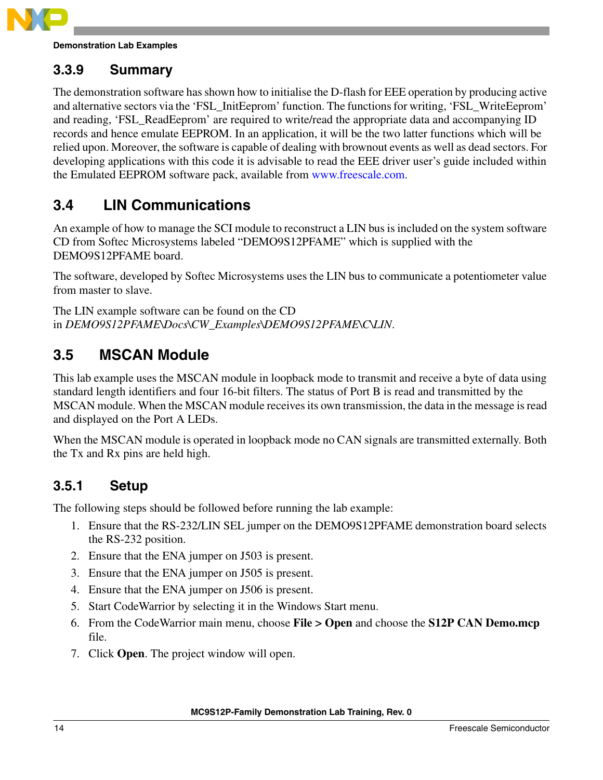

#### **3.3.9 Summary**

[The demonstration software has shown how to initialise the D-flash for EEE operation by producing active](http://www.freescale.com)  and alternative sectors via the 'FSL\_InitEeprom' function. The functions for writing, 'FSL\_WriteEeprom' and reading, 'FSL\_ReadEeprom' are required to write/read the appropriate data and accompanying ID records and hence emulate EEPROM. In an application, it will be the two latter functions which will be relied upon. Moreover, the software is capable of dealing with brownout events as well as dead sectors. For developing applications with this code it is advisable to read the EEE driver user's guide included within [the Emulated EEPROM software pack, available from w](http://www.freescale.com)ww.freescale.com.

### <span id="page-13-0"></span>**3.4 LIN Communications**

An example of how to manage the SCI module to reconstruct a LIN bus is included on the system software CD from Softec Microsystems labeled "DEMO9S12PFAME" which is supplied with the DEMO9S12PFAME board.

The software, developed by Softec Microsystems uses the LIN bus to communicate a potentiometer value from master to slave.

The LIN example software can be found on the CD in *DEMO9S12PFAME\Docs\CW\_Examples\DEMO9S12PFAME\C\LIN*.

### <span id="page-13-1"></span>**3.5 MSCAN Module**

This lab example uses the MSCAN module in loopback mode to transmit and receive a byte of data using standard length identifiers and four 16-bit filters. The status of Port B is read and transmitted by the MSCAN module. When the MSCAN module receives its own transmission, the data in the message is read and displayed on the Port A LEDs.

When the MSCAN module is operated in loopback mode no CAN signals are transmitted externally. Both the Tx and Rx pins are held high.

#### **3.5.1 Setup**

The following steps should be followed before running the lab example:

- 1. Ensure that the RS-232/LIN SEL jumper on the DEMO9S12PFAME demonstration board selects the RS-232 position.
- 2. Ensure that the ENA jumper on J503 is present.
- 3. Ensure that the ENA jumper on J505 is present.
- 4. Ensure that the ENA jumper on J506 is present.
- 5. Start CodeWarrior by selecting it in the Windows Start menu.
- 6. From the CodeWarrior main menu, choose **File > Open** and choose the **S12P CAN Demo.mcp** file.
- 7. Click **Open**. The project window will open.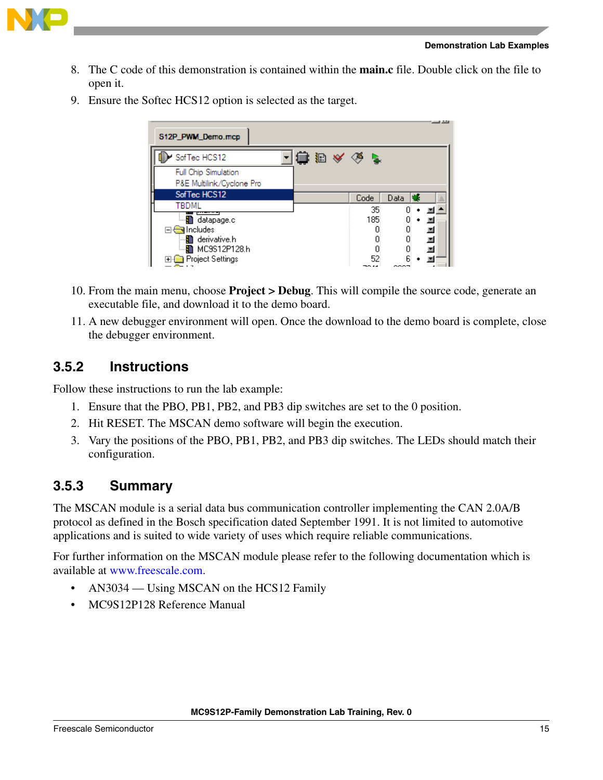

- 8. The C code of this demonstration is contained within the **main.c** file. Double click on the file to open it.
- 9. Ensure the Softec HCS12 option is selected as the target.



- 10. From the main menu, choose **Project > Debug**. This will compile the source code, generate an executable file, and download it to the demo board.
- 11. A new debugger environment will open. Once the download to the demo board is complete, close the debugger environment.

#### **3.5.2 Instructions**

Follow these instructions to run the lab example:

- [1. Ensure that the PBO, PB1, PB2, and PB3 dip switches are set to the 0 position.](http://www.freescale.com/)
- 2. Hit RESET. The MSCAN demo software will begin the execution.
- [3. Vary the positions of the PBO, PB1, PB2, and PB3 dip switches. The LEDs should match their](http://www.freescale.com/)  configuration.

#### **3.5.3 Summary**

The MSCAN module is a serial data bus communication controller implementing the CAN 2.0A/B protocol as defined in the Bosch specification dated September 1991. It is not limited to automotive applications and is suited to wide variety of uses which require reliable communications.

[For further information on the MSCAN module please refer to the following documentation which is](http://www.freescale.com)  [available at](http://www.freescale.com) www.freescale.com.

- AN3034 Using MSCAN on the HCS12 Family
- MC9S12P128 Reference Manual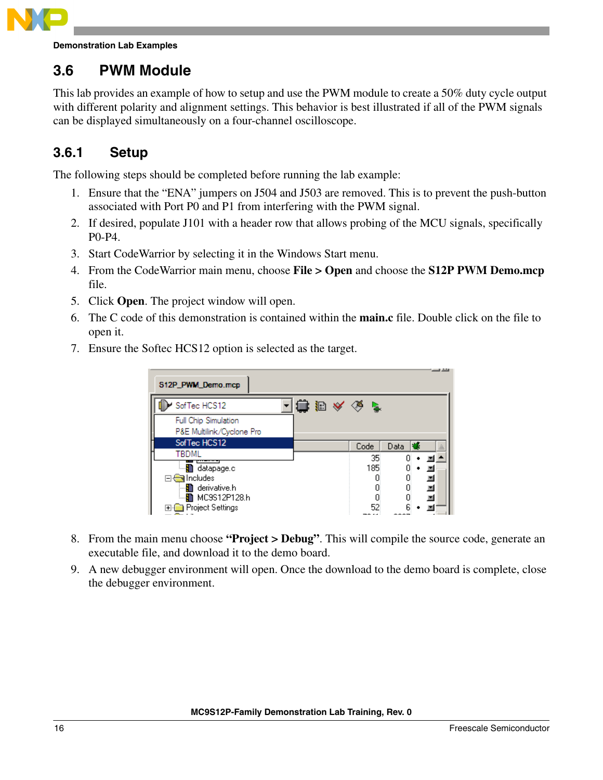

### <span id="page-15-0"></span>**3.6 PWM Module**

This lab provides an example of how to setup and use the PWM module to create a 50% duty cycle output with different polarity and alignment settings. This behavior is best illustrated if all of the PWM signals can be displayed simultaneously on a four-channel oscilloscope.

### **3.6.1 Setup**

The following steps should be completed before running the lab example:

- 1. Ensure that the "ENA" jumpers on J504 and J503 are removed. This is to prevent the push-button associated with Port P0 and P1 from interfering with the PWM signal.
- 2. If desired, populate J101 with a header row that allows probing of the MCU signals, specifically P0-P4.
- 3. Start CodeWarrior by selecting it in the Windows Start menu.
- 4. From the CodeWarrior main menu, choose **File > Open** and choose the **S12P PWM Demo.mcp** file.
- 5. Click **Open**. The project window will open.
- 6. The C code of this demonstration is contained within the **main.c** file. Double click on the file to open it.
- 7. Ensure the Softec HCS12 option is selected as the target.

| S12P_PWM_Demo.mcp             |  |       |     |      |  |
|-------------------------------|--|-------|-----|------|--|
| SofTec HCS12                  |  | ■胆々多よ |     |      |  |
| Full Chip Simulation          |  |       |     |      |  |
| P&E Multilink/Cyclone Pro     |  |       |     |      |  |
| SofTec HCS12                  |  | Code  |     | Data |  |
| <b>TBDML</b>                  |  |       | 35. |      |  |
| datapage.c                    |  |       | 185 |      |  |
| ⊟ <del>©</del> Includes       |  |       |     |      |  |
| Manative.h                    |  |       |     |      |  |
| A MC9S12P128.h                |  |       |     |      |  |
| <b>Project Settings</b><br>⊞⊣ |  |       | 52  |      |  |

- 8. From the main menu choose **"Project > Debug"**. This will compile the source code, generate an executable file, and download it to the demo board.
- 9. A new debugger environment will open. Once the download to the demo board is complete, close the debugger environment.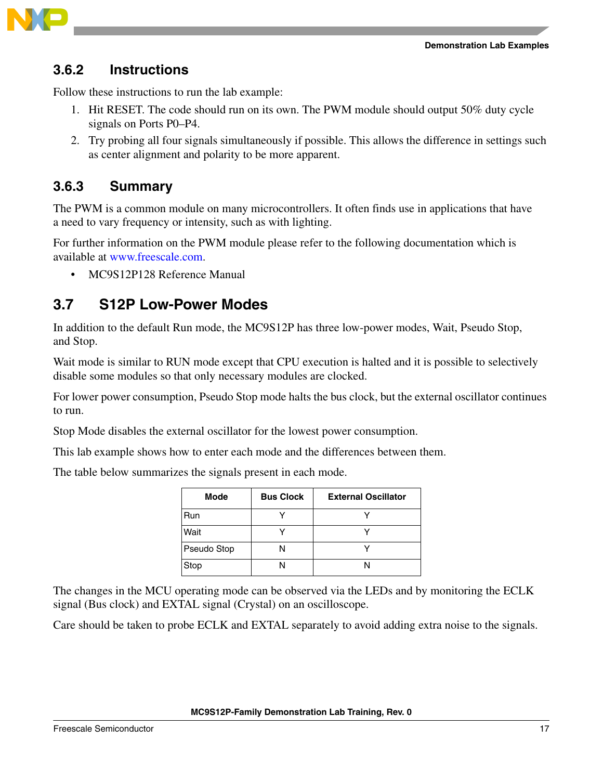

#### **3.6.2 Instructions**

Follow these instructions to run the lab example:

- 1. Hit RESET. The code should run on its own. The PWM module should output 50% duty cycle signals on Ports P0–P4.
- 2. Try probing all four signals simultaneously if possible. This allows the difference in settings such as center alignment and polarity to be more apparent.

#### **3.6.3 Summary**

The PWM is a common module on many microcontrollers. It often finds use in applications that have a need to vary frequency or intensity, such as with lighting.

[For further information on the PWM module please refer to the following documentation which is](http://www.freescale.net)  [available at](http://www.freescale.net) www.freescale.com.

• MC9S12P128 Reference Manual

### <span id="page-16-0"></span>**3.7 S12P Low-Power Modes**

In addition to the default Run mode, the MC9S12P has three low-power modes, Wait, Pseudo Stop, and Stop.

Wait mode is similar to RUN mode except that CPU execution is halted and it is possible to selectively disable some modules so that only necessary modules are clocked.

For lower power consumption, Pseudo Stop mode halts the bus clock, but the external oscillator continues to run.

Stop Mode disables the external oscillator for the lowest power consumption.

This lab example shows how to enter each mode and the differences between them.

The table below summarizes the signals present in each mode.

| <b>Mode</b> | <b>Bus Clock</b> | <b>External Oscillator</b> |
|-------------|------------------|----------------------------|
| Run         |                  |                            |
| Wait        |                  |                            |
| Pseudo Stop |                  |                            |
| Stop        |                  |                            |

The changes in the MCU operating mode can be observed via the LEDs and by monitoring the ECLK signal (Bus clock) and EXTAL signal (Crystal) on an oscilloscope.

Care should be taken to probe ECLK and EXTAL separately to avoid adding extra noise to the signals.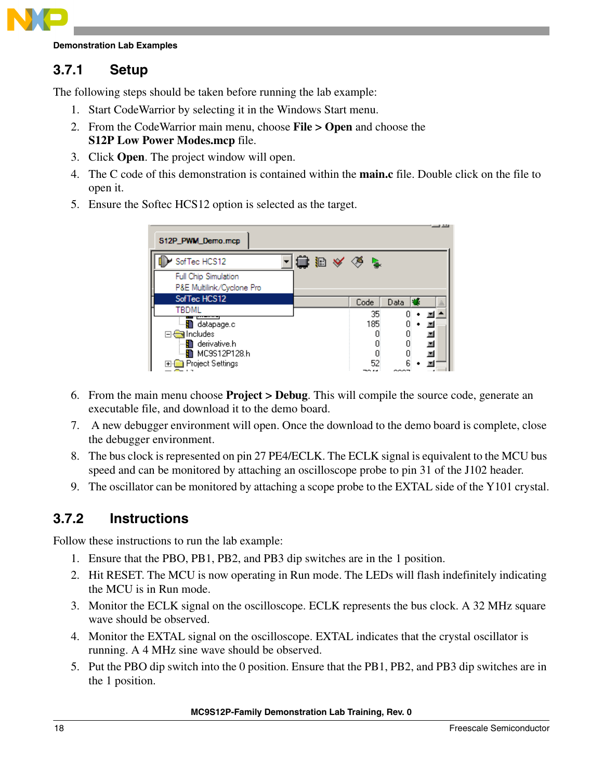

### **3.7.1 Setup**

The following steps should be taken before running the lab example:

- 1. Start CodeWarrior by selecting it in the Windows Start menu.
- 2. From the CodeWarrior main menu, choose **File > Open** and choose the **S12P Low Power Modes.mcp** file.
- 3. Click **Open**. The project window will open.
- 4. The C code of this demonstration is contained within the **main.c** file. Double click on the file to open it.
- 5. Ensure the Softec HCS12 option is selected as the target.

| S12P_PWM_Demo.mcp         |  |      |      |     |      |  |
|---------------------------|--|------|------|-----|------|--|
| SofTec HCS12              |  | ■胆≫◆ |      |     |      |  |
| Full Chip Simulation      |  |      |      |     |      |  |
| P&E Multilink/Cyclone Pro |  |      |      |     |      |  |
| SofTec HCS12              |  |      | Code |     | Data |  |
| <b>TBDML</b>              |  |      |      | 35. |      |  |
| <b>Ma</b> datapage.c      |  |      |      | 185 |      |  |
| ⊟ <del>©</del> Includes   |  |      |      |     |      |  |
| Manative.h                |  |      |      |     |      |  |
| ≔MD MC9S12P128.h          |  |      |      |     |      |  |
| <b>Project Settings</b>   |  |      |      | 52  |      |  |

- 6. From the main menu choose **Project > Debug**. This will compile the source code, generate an executable file, and download it to the demo board.
- 7. A new debugger environment will open. Once the download to the demo board is complete, close the debugger environment.
- 8. The bus clock is represented on pin 27 PE4/ECLK. The ECLK signal is equivalent to the MCU bus speed and can be monitored by attaching an oscilloscope probe to pin 31 of the J102 header.
- 9. The oscillator can be monitored by attaching a scope probe to the EXTAL side of the Y101 crystal.

### **3.7.2 Instructions**

Follow these instructions to run the lab example:

- 1. Ensure that the PBO, PB1, PB2, and PB3 dip switches are in the 1 position.
- 2. Hit RESET. The MCU is now operating in Run mode. The LEDs will flash indefinitely indicating the MCU is in Run mode.
- 3. Monitor the ECLK signal on the oscilloscope. ECLK represents the bus clock. A 32 MHz square wave should be observed.
- 4. Monitor the EXTAL signal on the oscilloscope. EXTAL indicates that the crystal oscillator is running. A 4 MHz sine wave should be observed.
- 5. Put the PBO dip switch into the 0 position. Ensure that the PB1, PB2, and PB3 dip switches are in the 1 position.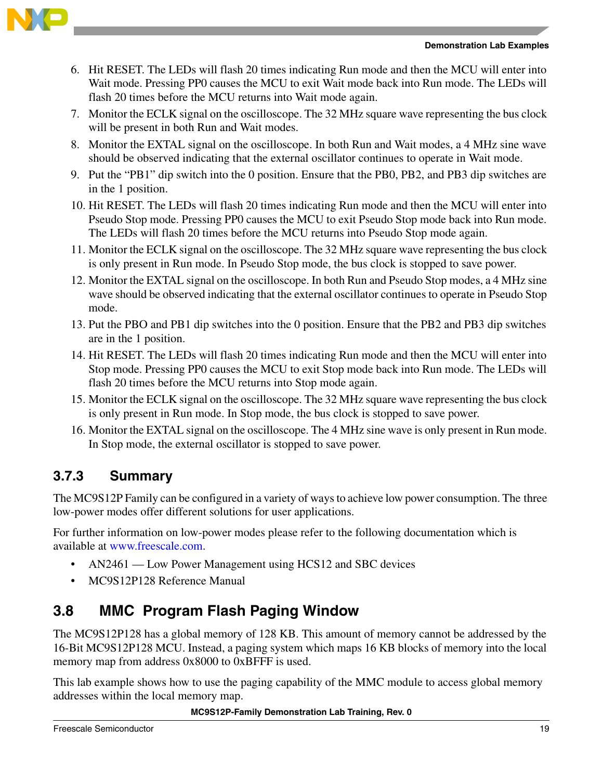



- 6. Hit RESET. The LEDs will flash 20 times indicating Run mode and then the MCU will enter into Wait mode. Pressing PP0 causes the MCU to exit Wait mode back into Run mode. The LEDs will flash 20 times before the MCU returns into Wait mode again.
- 7. Monitor the ECLK signal on the oscilloscope. The 32 MHz square wave representing the bus clock will be present in both Run and Wait modes.
- 8. Monitor the EXTAL signal on the oscilloscope. In both Run and Wait modes, a 4 MHz sine wave should be observed indicating that the external oscillator continues to operate in Wait mode.
- 9. Put the "PB1" dip switch into the 0 position. Ensure that the PB0, PB2, and PB3 dip switches are in the 1 position.
- 10. Hit RESET. The LEDs will flash 20 times indicating Run mode and then the MCU will enter into Pseudo Stop mode. Pressing PP0 causes the MCU to exit Pseudo Stop mode back into Run mode. The LEDs will flash 20 times before the MCU returns into Pseudo Stop mode again.
- 11. Monitor the ECLK signal on the oscilloscope. The 32 MHz square wave representing the bus clock is only present in Run mode. In Pseudo Stop mode, the bus clock is stopped to save power.
- 12. Monitor the EXTAL signal on the oscilloscope. In both Run and Pseudo Stop modes, a 4 MHz sine wave should be observed indicating that the external oscillator continues to operate in Pseudo Stop mode.
- 13. Put the PBO and PB1 dip switches into the 0 position. Ensure that the PB2 and PB3 dip switches are in the 1 position.
- 14. Hit RESET. The LEDs will flash 20 times indicating Run mode and then the MCU will enter into Stop mode. Pressing PP0 causes the MCU to exit Stop mode back into Run mode. The LEDs will flash 20 times before the MCU returns into Stop mode again.
- 15. Monitor the ECLK signal on the oscilloscope. The 32 MHz square wave representing the bus clock is only present in Run mode. In Stop mode, the bus clock is stopped to save power.
- 16. Monitor the EXTAL signal on the oscilloscope. The 4 MHz sine wave is only present in Run mode. In Stop mode, the external oscillator is stopped to save power.

### **3.7.3 Summary**

The MC9S12P Family can be configured in a variety of ways to achieve low power consumption. The three low-power modes offer different solutions for user applications.

[For further information on low-power modes please refer to the following documentation which is](http://www.freescale.com)  [available at](http://www.freescale.com) www.freescale.com.

- AN2461 Low Power Management using HCS12 and SBC devices
- MC9S12P128 Reference Manual

# <span id="page-18-0"></span>**3.8 MMC Program Flash Paging Window**

The MC9S12P128 has a global memory of 128 KB. This amount of memory cannot be addressed by the 16-Bit MC9S12P128 MCU. Instead, a paging system which maps 16 KB blocks of memory into the local memory map from address 0x8000 to 0xBFFF is used.

This lab example shows how to use the paging capability of the MMC module to access global memory addresses within the local memory map.

**MC9S12P-Family Demonstration Lab Training, Rev. 0**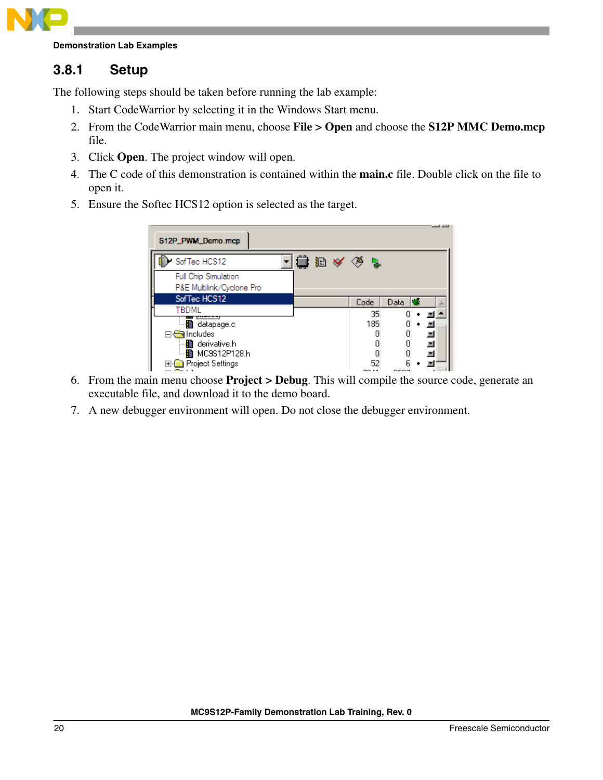

#### **3.8.1 Setup**

The following steps should be taken before running the lab example:

- 1. Start CodeWarrior by selecting it in the Windows Start menu.
- 2. From the CodeWarrior main menu, choose **File > Open** and choose the **S12P MMC Demo.mcp** file.
- 3. Click **Open**. The project window will open.
- 4. The C code of this demonstration is contained within the **main.c** file. Double click on the file to open it.
- 5. Ensure the Softec HCS12 option is selected as the target.

| S12P_PWM_Demo.mcp          |      |  |      |     |      |  |
|----------------------------|------|--|------|-----|------|--|
| SofTec HCS12               | ■胆多多 |  |      |     |      |  |
| Full Chip Simulation       |      |  |      |     |      |  |
| P&E Multilink/Cyclone Pro  |      |  |      |     |      |  |
| SofTec HCS12               |      |  | Code |     | Data |  |
| <b>TBDML</b>               |      |  |      | 35. |      |  |
| <b>a</b> datapage.c        |      |  |      | 185 |      |  |
| ⊟∙ <del>©</del> ⊒ Includes |      |  |      |     |      |  |
| Manative.h                 |      |  |      |     |      |  |
| MC9S12P128.h               |      |  |      |     |      |  |
| Project Settings<br>ஈ      |      |  |      | 52  |      |  |

- 6. From the main menu choose **Project > Debug**. This will compile the source code, generate an executable file, and download it to the demo board.
- 7. A new debugger environment will open. Do not close the debugger environment.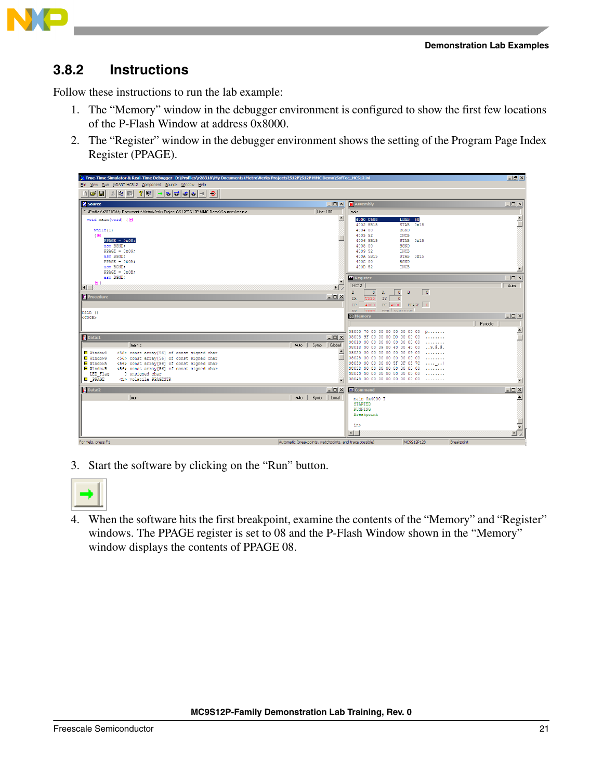

#### **3.8.2 Instructions**

Follow these instructions to run the lab example:

- 1. The "Memory" window in the debugger environment is configured to show the first few locations of the P-Flash Window at address 0x8000.
- 2. The "Register" window in the debugger environment shows the setting of the Program Page Index Register (PPAGE).



3. Start the software by clicking on the "Run" button.



4. When the software hits the first breakpoint, examine the contents of the "Memory" and "Register" windows. The PPAGE register is set to 08 and the P-Flash Window shown in the "Memory" window displays the contents of PPAGE 08.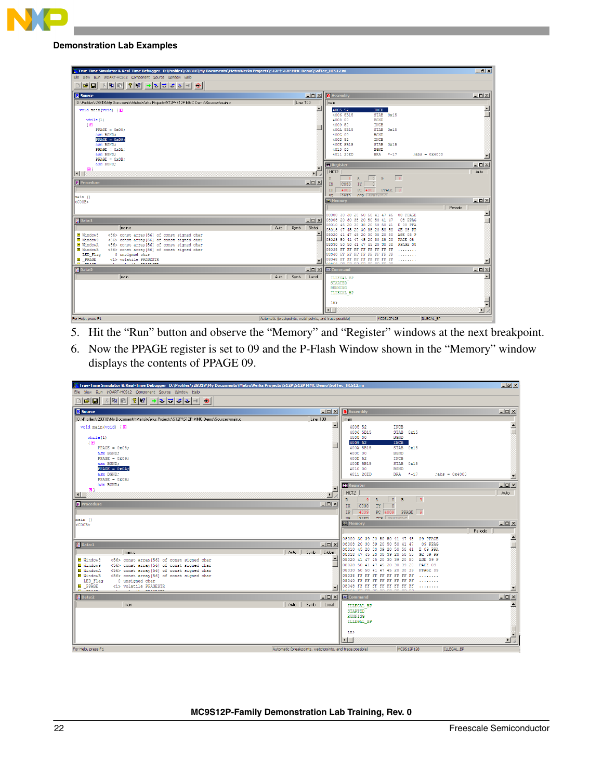

| True-Time Simulator & Real-Time Debugger D:\Profiles\r28318\My Documents\MetroWerks Projects\S12P\S12P MMC Demo\SofTec HCS12.ini |                                                           |                                                                                     | $\Box$                   |
|----------------------------------------------------------------------------------------------------------------------------------|-----------------------------------------------------------|-------------------------------------------------------------------------------------|--------------------------|
| File View Run inDART-HCS12 Component Source Window Help                                                                          |                                                           |                                                                                     |                          |
| 8 2 3 4 5 6 6 7 9 9 10 1 2 3 4 5 6 7 8 9 1                                                                                       |                                                           |                                                                                     |                          |
| <b>Source</b>                                                                                                                    | $-10 \times$                                              | <b>Assembly</b>                                                                     | $-12$ $\times$           |
| D:\Profiles\r28318\Mv Documents\MetroWerks Projects\S12P\S12P MMC Demo\Sources\main.c                                            | Line: 100                                                 | main                                                                                |                          |
| void main (void) { B                                                                                                             | $\blacktriangle$                                          | <b>INCB</b><br>4005 52                                                              |                          |
| while $(1)$                                                                                                                      |                                                           | 4006 5B15<br>STAB 0x15<br>4008 00<br><b>BGND</b>                                    |                          |
| 不圖                                                                                                                               |                                                           | 4009 52<br><b>INCB</b>                                                              |                          |
| $PPAGE = 0x08$                                                                                                                   |                                                           | 400A 5B15<br>STAB 0x15                                                              |                          |
| asm BGND:<br>$PPAGE = 0x09;$                                                                                                     |                                                           | 400C 00<br><b>BGND</b><br>400D 52<br><b>INCB</b>                                    |                          |
| asm BGND:                                                                                                                        |                                                           | 400E 5B15<br>STAB 0x15                                                              |                          |
| $PPAGE = 0x0A$                                                                                                                   |                                                           | <b>BGND</b><br>4010 00                                                              |                          |
| asm BGND:<br>$PPAGE = 0x0B$ :                                                                                                    |                                                           | <b>BRA</b><br>4011 20ED<br>$+ -17$<br>$; abs = 0x4000$                              |                          |
| asm BGND:                                                                                                                        |                                                           | <b>Register</b>                                                                     | $ \Box$ $\times$         |
| 国)<br>$\vert \cdot \vert$                                                                                                        | $\blacktriangleright$                                     | <b>HC12</b>                                                                         | Auto                     |
|                                                                                                                                  |                                                           | $\Box$<br>B<br>$\mathbbm{A}$<br>8                                                   |                          |
| P Procedure                                                                                                                      | $  \Box$ $\times$                                         | C030<br>IY.<br><b>IX</b><br>$\circ$                                                 |                          |
|                                                                                                                                  |                                                           | PC 4005<br>PPAGE 8<br>IP.<br>4005<br>28FD<br>CCD SYRTN2UC<br>CD                     |                          |
| main()<br><coob></coob>                                                                                                          |                                                           | <b>Memory</b>                                                                       | $-12x$                   |
|                                                                                                                                  |                                                           | Periodic                                                                            |                          |
|                                                                                                                                  |                                                           | 08000 30 38 20 50 50 41 47 45 08 PPAGE                                              | $\overline{\phantom{0}}$ |
| Data:1                                                                                                                           | $  D $ $\times$                                           | 08008 20 30 38 20 50 50 41 47<br>08 PPAG                                            |                          |
| main.c                                                                                                                           | Auto Symb<br>Global                                       | 08010 45 20 30 38 20 50 50 41 E 08 PPA                                              |                          |
| <56> const array[56] of const signed char<br>Window8                                                                             |                                                           | 08018 47 45 20 30 38 20 50 50<br>GE 08 PP<br>08020 41 47 45 20 30 38 20 50 AGE 08 P |                          |
| E Window9<br><56> const array[56] of const signed char                                                                           |                                                           | 08028 50 41 47 45 20 30 38 20 PAGE 08                                               |                          |
| <b>E WindowA</b><br><56> const array[56] of const signed char                                                                    |                                                           | 08030 50 50 41 47 45 20 30 38<br>PPAGE 08<br>08038 FF FF FF FF FF FF FF FF          |                          |
| <b>E</b> WindowB<br><56> const array[56] of const signed char<br>LED Flag<br>0 unsigned char                                     |                                                           | 108040 FF FF FF FF FF FF FF FF<br>.                                                 |                          |
| <b>E PPAGE</b><br><1> volatile PPAGESTR                                                                                          |                                                           | 08048 FF FF FF FF FF FF FF FF<br>1.1.1.1.1.1                                        |                          |
| Data:2                                                                                                                           | $  D $ $\times$                                           | <b>Exe</b> Command                                                                  | $-10x$                   |
| main                                                                                                                             | Auto Symb<br>Local                                        |                                                                                     | $\blacktriangle$         |
|                                                                                                                                  |                                                           | ILLEGAL BP<br><b>STARTED</b>                                                        |                          |
|                                                                                                                                  |                                                           | RUNNING                                                                             |                          |
|                                                                                                                                  |                                                           | ILLEGAL BP                                                                          |                          |
|                                                                                                                                  |                                                           | in>                                                                                 |                          |
|                                                                                                                                  |                                                           | $\blacksquare$                                                                      | $\mathbf{E}$             |
|                                                                                                                                  |                                                           |                                                                                     |                          |
| For Help, press F1                                                                                                               | Automatic (breakpoints, watchpoints, and trace possible). | MC9S12P128<br><b>ILLEGAL BP</b>                                                     |                          |

- 5. Hit the "Run" button and observe the "Memory" and "Register" windows at the next breakpoint.
- 6. Now the PPAGE register is set to 09 and the P-Flash Window shown in the "Memory" window displays the contents of PPAGE 09.



#### **MC9S12P-Family Demonstration Lab Training, Rev. 0**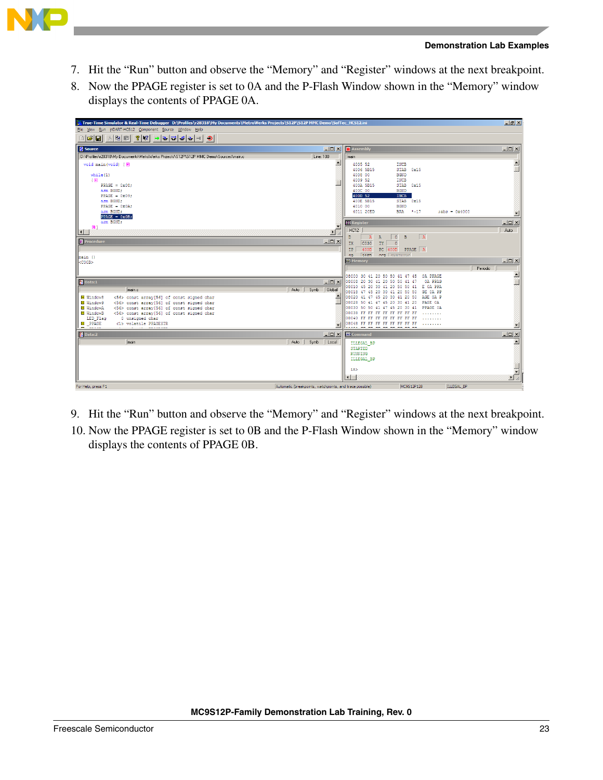

- 7. Hit the "Run" button and observe the "Memory" and "Register" windows at the next breakpoint.
- 8. Now the PPAGE register is set to 0A and the P-Flash Window shown in the "Memory" window displays the contents of PPAGE 0A.



- 9. Hit the "Run" button and observe the "Memory" and "Register" windows at the next breakpoint.
- 10. Now the PPAGE register is set to 0B and the P-Flash Window shown in the "Memory" window displays the contents of PPAGE 0B.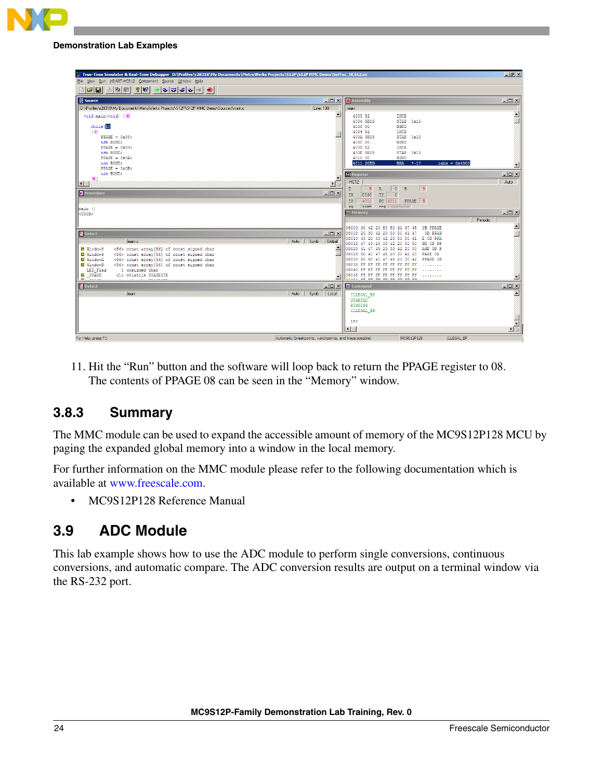

| True-Time Simulator & Real-Time Debugger D:\Profiles\r28318\My Documents\MetroWerks Projects\S12P\S12P MMC Demo\SofTec HCS12.ini |      |                                                          |                                                                                           | $-1$ $ X $              |
|----------------------------------------------------------------------------------------------------------------------------------|------|----------------------------------------------------------|-------------------------------------------------------------------------------------------|-------------------------|
| File View Run inDART-HCS12 Component Source Window Help                                                                          |      |                                                          |                                                                                           |                         |
|                                                                                                                                  |      |                                                          |                                                                                           |                         |
| S Source                                                                                                                         |      | $   x$ $-$                                               | <b>Assembly</b>                                                                           | $\Box$ D $\times$       |
| D:\Profiles\r28318\My Documents\MetroWerks Projects\S12P\S12P MMC Demo\Sources\main.c                                            |      | Line: 100                                                | main                                                                                      |                         |
| void main (void) $[$ $\blacksquare$                                                                                              |      | $\blacktriangle$                                         | 4005 52<br><b>INCB</b>                                                                    | ∸                       |
|                                                                                                                                  |      |                                                          | STAB 0x15<br>4006 5B15                                                                    |                         |
| while $(1)$<br>不圖                                                                                                                |      |                                                          | 4008 00<br><b>BGND</b><br>4009 52<br><b>INCB</b>                                          |                         |
| $PPAGE = 0x08;$                                                                                                                  |      |                                                          | 400A 5B15<br>STAB 0x15                                                                    |                         |
| asm BGND:                                                                                                                        |      |                                                          | 400C 00<br><b>BGND</b>                                                                    |                         |
| $PPAGE = 0x09$ :                                                                                                                 |      |                                                          | 400D 52<br><b>INCB</b>                                                                    |                         |
| asm BGND:<br>$PPAGE = 0x0A;$                                                                                                     |      |                                                          | 400E 5B15<br>STAB<br>0x15<br>4010 00<br><b>BGND</b>                                       |                         |
| asm BGND;                                                                                                                        |      |                                                          | $;abs = 0x4000$<br>4011 20ED<br><b>BRA</b><br>$* - 17$                                    |                         |
| $PPAGE = 0x0B$ :                                                                                                                 |      |                                                          |                                                                                           |                         |
| asm BGND:                                                                                                                        |      |                                                          | <b>R</b> Register                                                                         | $\Box$                  |
| 国)<br>$\blacksquare$                                                                                                             |      | $\blacktriangleright$                                    | <b>HC12</b>                                                                               | Auto                    |
|                                                                                                                                  |      |                                                          | $\bullet$<br>B<br>$\mathbf{B}$<br>$\mathbf{A}$<br>B                                       |                         |
| P Procedure                                                                                                                      |      | $-10x$                                                   | C030<br>$\circ$<br>IY.<br><b>IX</b>                                                       |                         |
|                                                                                                                                  |      |                                                          | PC 4011 PPAGE B<br><b>IP</b><br>4011                                                      |                         |
| main ()                                                                                                                          |      |                                                          | COD EVERNATO<br>20FD<br>CD                                                                |                         |
| <c00b></c00b>                                                                                                                    |      |                                                          | <b>Memory</b>                                                                             | $\Box$ D $\times$       |
|                                                                                                                                  |      |                                                          | Periodic                                                                                  |                         |
|                                                                                                                                  |      |                                                          | 08000 30 42 20 50 50 41 47 45 OB PPAGE                                                    | $\blacktriangle$        |
| Data:1                                                                                                                           |      | $ \Box$ $\times$                                         | 08008 20 30 42 20 50 50 41 47<br><b>OB PPAG</b><br>08010 45 20 30 42 20 50 50 41 E OB PPA |                         |
| main.c                                                                                                                           |      | Auto Symb<br>Global                                      | 08018 47 45 20 30 42 20 50 50<br>GE OB PP                                                 |                         |
| <b>E Window8</b><br><56> const array[56] of const signed char                                                                    |      |                                                          | 08020 41 47 45 20 30 42 20 50 AGE OB P                                                    |                         |
| <b>E</b> Window9<br><56> const array[56] of const signed char                                                                    |      |                                                          | 08028 50 41 47 45 20 30 42 20 PAGE 0B                                                     |                         |
| <b>E</b> WindowA<br><56> const array[56] of const signed char<br><b>E</b> WindowB<br><56> const array[56] of const signed char   |      |                                                          | 08030 50 50 41 47 45 20 30 42 PPAGE OB<br>08038 FF FF FF FF FF FF FF FF                   |                         |
| LED Flag<br>0 unsigned char                                                                                                      |      |                                                          | 08040 FF FF FF FF FF FF FF FF                                                             |                         |
| <b>E</b> PPAGE<br><1> volatile PPAGESTR                                                                                          |      |                                                          | 08048 FF FF FF FF FF FF FF FF<br><b><i>Charles Committee</i></b>                          |                         |
|                                                                                                                                  |      |                                                          |                                                                                           |                         |
| Data:2                                                                                                                           |      |                                                          | $\boxed{\square}$ $\boxed{\square}$ $\boxed{\square}$ Command                             | $-121 \times$           |
| main                                                                                                                             | Auto | Symb<br>Local                                            | ILLEGAL BP                                                                                | $\blacktriangle$        |
|                                                                                                                                  |      |                                                          | <b>STARTED</b><br>RUNNING                                                                 |                         |
|                                                                                                                                  |      |                                                          | ILLEGAL BP                                                                                |                         |
|                                                                                                                                  |      |                                                          |                                                                                           |                         |
|                                                                                                                                  |      |                                                          | in>                                                                                       |                         |
|                                                                                                                                  |      |                                                          | $\vert \cdot \vert$                                                                       | $\overline{\mathbf{r}}$ |
| For Help, press F1                                                                                                               |      | Automatic (breakpoints, watchpoints, and trace possible) | MC9S12P128<br><b>ILLEGAL BP</b>                                                           |                         |

11. Hit the "Run" button and the software will loop back to return the PPAGE register to 08. The contents of PPAGE 08 can be seen in the "Memory" window.

#### **3.8.3 Summary**

The MMC module can be used to expand the accessible amount of memory of the MC9S12P128 MCU by paging the expanded global memory into a window in the local memory.

[For further information on the MMC module please refer to the following documentation which is](http://www.freescale.com)  [available at](http://www.freescale.com) www.freescale.com.

• MC9S12P128 Reference Manual

#### <span id="page-23-0"></span>**3.9 ADC Module**

This lab example shows how to use the ADC module to perform single conversions, continuous conversions, and automatic compare. The ADC conversion results are output on a terminal window via the RS-232 port.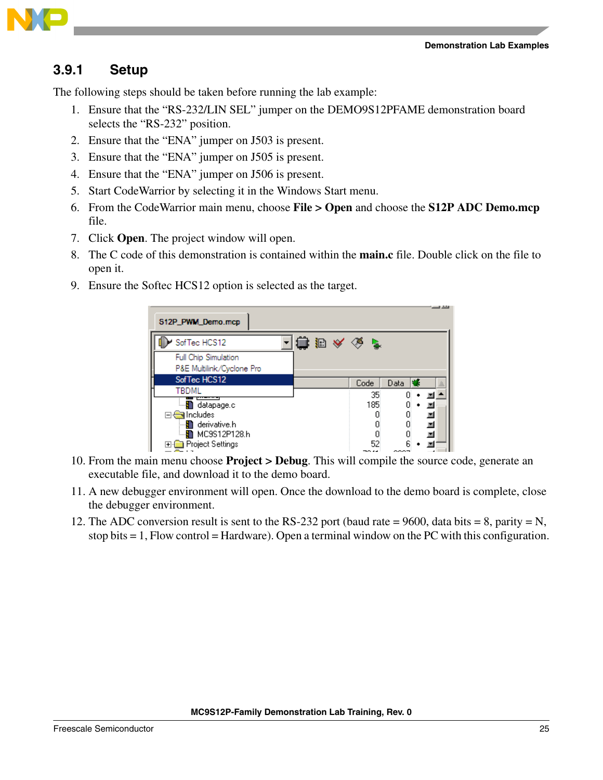

#### **3.9.1 Setup**

The following steps should be taken before running the lab example:

- 1. Ensure that the "RS-232/LIN SEL" jumper on the DEMO9S12PFAME demonstration board selects the "RS-232" position.
- 2. Ensure that the "ENA" jumper on J503 is present.
- 3. Ensure that the "ENA" jumper on J505 is present.
- 4. Ensure that the "ENA" jumper on J506 is present.
- 5. Start CodeWarrior by selecting it in the Windows Start menu.
- 6. From the CodeWarrior main menu, choose **File > Open** and choose the **S12P ADC Demo.mcp** file.
- 7. Click **Open**. The project window will open.
- 8. The C code of this demonstration is contained within the **main.c** file. Double click on the file to open it.
- 9. Ensure the Softec HCS12 option is selected as the target.



- 10. From the main menu choose **Project > Debug**. This will compile the source code, generate an executable file, and download it to the demo board.
- 11. A new debugger environment will open. Once the download to the demo board is complete, close the debugger environment.
- 12. The ADC conversion result is sent to the RS-232 port (baud rate = 9600, data bits = 8, parity = N, stop bits  $= 1$ , Flow control  $=$  Hardware). Open a terminal window on the PC with this configuration.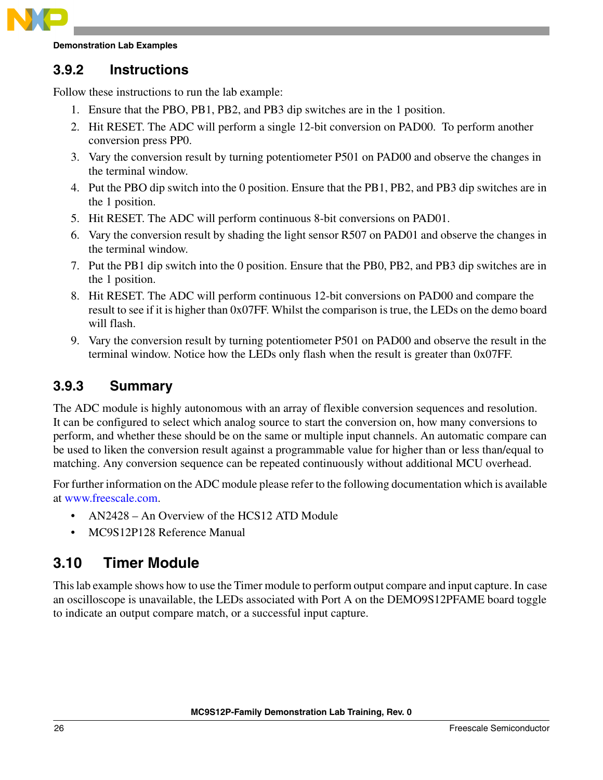

#### **3.9.2 Instructions**

Follow these instructions to run the lab example:

- 1. Ensure that the PBO, PB1, PB2, and PB3 dip switches are in the 1 position.
- 2. Hit RESET. The ADC will perform a single 12-bit conversion on PAD00. To perform another conversion press PP0.
- 3. Vary the conversion result by turning potentiometer P501 on PAD00 and observe the changes in the terminal window.
- 4. Put the PBO dip switch into the 0 position. Ensure that the PB1, PB2, and PB3 dip switches are in the 1 position.
- 5. Hit RESET. The ADC will perform continuous 8-bit conversions on PAD01.
- 6. Vary the conversion result by shading the light sensor R507 on PAD01 and observe the changes in the terminal window.
- 7. Put the PB1 dip switch into the 0 position. Ensure that the PB0, PB2, and PB3 dip switches are in the 1 position.
- 8. Hit RESET. The ADC will perform continuous 12-bit conversions on PAD00 and compare the result to see if it is higher than 0x07FF. Whilst the comparison is true, the LEDs on the demo board will flash.
- 9. Vary the conversion result by turning potentiometer P501 on PAD00 and observe the result in the terminal window. Notice how the LEDs only flash when the result is greater than 0x07FF.

#### **3.9.3 Summary**

The ADC module is highly autonomous with an array of flexible conversion sequences and resolution. It can be configured to select which analog source to start the conversion on, how many conversions to perform, and whether these should be on the same or multiple input channels. An automatic compare can be used to liken the conversion result against a programmable value for higher than or less than/equal to matching. Any conversion sequence can be repeated continuously without additional MCU overhead.

[For further information on the ADC module please refer to the following documentation which is available](http://www.freescale.com)  [at w](http://www.freescale.com)ww.freescale.com.

- AN2428 An Overview of the HCS12 ATD Module
- MC9S12P128 Reference Manual

### <span id="page-25-0"></span>**3.10 Timer Module**

This lab example shows how to use the Timer module to perform output compare and input capture. In case an oscilloscope is unavailable, the LEDs associated with Port A on the DEMO9S12PFAME board toggle to indicate an output compare match, or a successful input capture.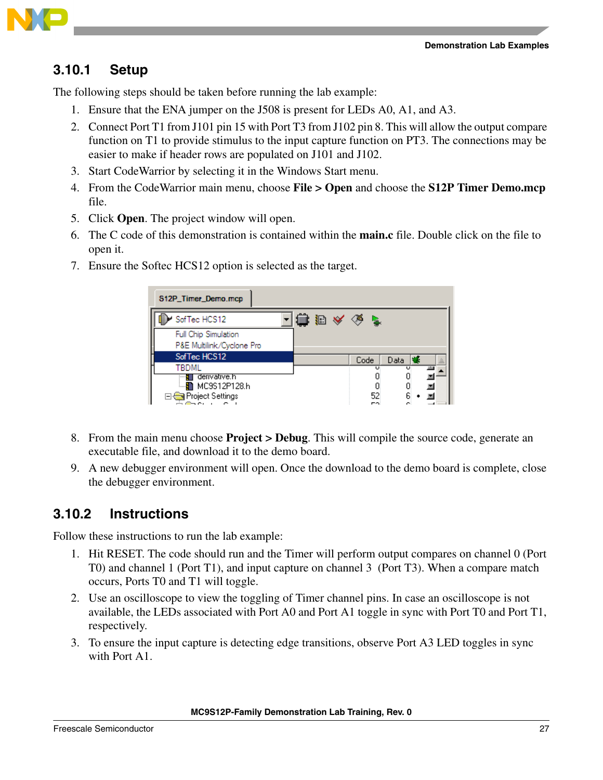

#### **3.10.1 Setup**

The following steps should be taken before running the lab example:

- 1. Ensure that the ENA jumper on the J508 is present for LEDs A0, A1, and A3.
- 2. Connect Port T1 from J101 pin 15 with Port T3 from J102 pin 8. This will allow the output compare function on T1 to provide stimulus to the input capture function on PT3. The connections may be easier to make if header rows are populated on J101 and J102.
- 3. Start CodeWarrior by selecting it in the Windows Start menu.
- 4. From the CodeWarrior main menu, choose **File > Open** and choose the **S12P Timer Demo.mcp** file.
- 5. Click **Open**. The project window will open.
- 6. The C code of this demonstration is contained within the **main.c** file. Double click on the file to open it.
- 7. Ensure the Softec HCS12 option is selected as the target.



- 8. From the main menu choose **Project > Debug**. This will compile the source code, generate an executable file, and download it to the demo board.
- 9. A new debugger environment will open. Once the download to the demo board is complete, close the debugger environment.

#### **3.10.2 Instructions**

Follow these instructions to run the lab example:

- 1. Hit RESET. The code should run and the Timer will perform output compares on channel 0 (Port T0) and channel 1 (Port T1), and input capture on channel 3 (Port T3). When a compare match occurs, Ports T0 and T1 will toggle.
- 2. Use an oscilloscope to view the toggling of Timer channel pins. In case an oscilloscope is not available, the LEDs associated with Port A0 and Port A1 toggle in sync with Port T0 and Port T1, respectively.
- 3. To ensure the input capture is detecting edge transitions, observe Port A3 LED toggles in sync with Port A1.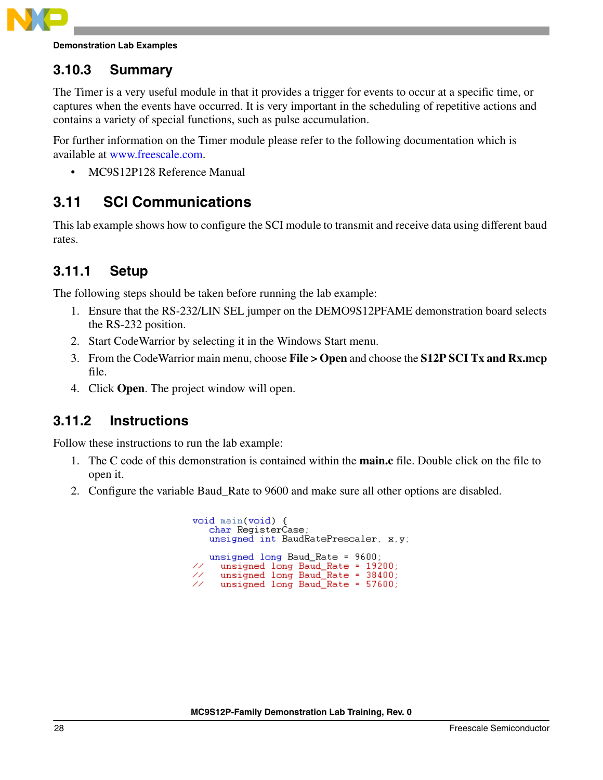

#### **3.10.3 Summary**

The Timer is a very useful module in that it provides a trigger for events to occur at a specific time, or captures when the events have occurred. It is very important in the scheduling of repetitive actions and contains a variety of special functions, such as pulse accumulation.

[For further information on the Timer module please refer to the following documentation which is](http://www.freescale.com)  [available at](http://www.freescale.com) www.freescale.com.

• MC9S12P128 Reference Manual

### <span id="page-27-0"></span>**3.11 SCI Communications**

This lab example shows how to configure the SCI module to transmit and receive data using different baud rates.

#### **3.11.1 Setup**

The following steps should be taken before running the lab example:

- 1. Ensure that the RS-232/LIN SEL jumper on the DEMO9S12PFAME demonstration board selects the RS-232 position.
- 2. Start CodeWarrior by selecting it in the Windows Start menu.
- 3. From the CodeWarrior main menu, choose **File > Open** and choose the **S12P SCI Tx and Rx.mcp** file.
- 4. Click **Open**. The project window will open.

#### **3.11.2 Instructions**

Follow these instructions to run the lab example:

- 1. The C code of this demonstration is contained within the **main.c** file. Double click on the file to open it.
- 2. Configure the variable Baud\_Rate to 9600 and make sure all other options are disabled.

```
void main(void) {
   char RegisterCase;
   unsigned int BaudRatePrescaler, x,y;
   unsigned long Baud_Rate = 9600;
11
    unsigned long Baud_Rate = 19200;
     unsigned long Baud Rate = 38400;
77
11.
    unsigned long Baud_Rate = 57600;
```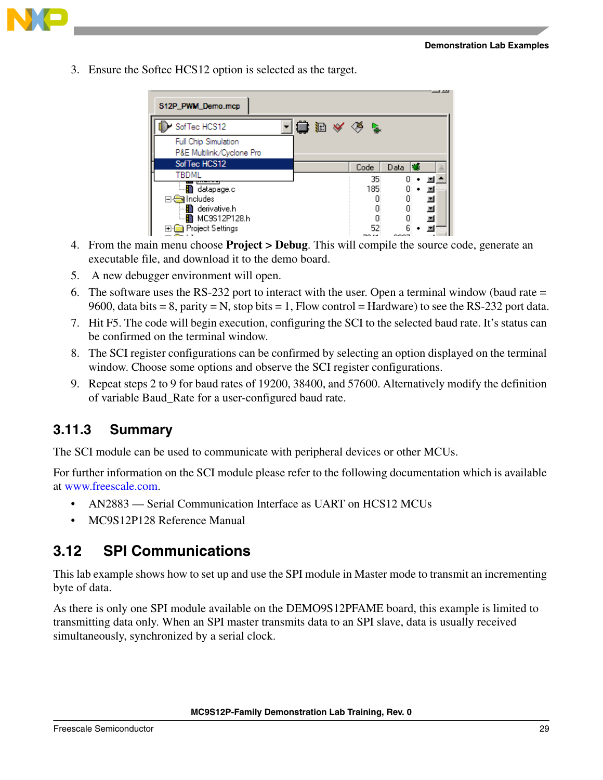

3. Ensure the Softec HCS12 option is selected as the target.



- 4. From the main menu choose **Project > Debug**. This will compile the source code, generate an executable file, and download it to the demo board.
- 5. A new debugger environment will open.
- 6. The software uses the RS-232 port to interact with the user. Open a terminal window (baud rate = 9600, data bits = 8, parity = N, stop bits = 1, Flow control = Hardware) to see the RS-232 port data.
- 7. Hit F5. The code will begin execution, configuring the SCI to the selected baud rate. It's status can be confirmed on the terminal window.
- 8. The SCI register configurations can be confirmed by selecting an option displayed on the terminal window. Choose some options and observe the SCI register configurations.
- 9. Repeat steps 2 to 9 for baud rates of 19200, 38400, and 57600. Alternatively modify the definition of variable Baud\_Rate for a user-configured baud rate.

#### **3.11.3 Summary**

The SCI module can be used to communicate with peripheral devices or other MCUs.

[For further information on the SCI module please refer to the following documentation which is available](http://www.freescale.com)  [at w](http://www.freescale.com)ww.freescale.com.

- AN2883 Serial Communication Interface as UART on HCS12 MCUs
- MC9S12P128 Reference Manual

#### <span id="page-28-0"></span>**3.12 SPI Communications**

This lab example shows how to set up and use the SPI module in Master mode to transmit an incrementing byte of data.

As there is only one SPI module available on the DEMO9S12PFAME board, this example is limited to transmitting data only. When an SPI master transmits data to an SPI slave, data is usually received simultaneously, synchronized by a serial clock.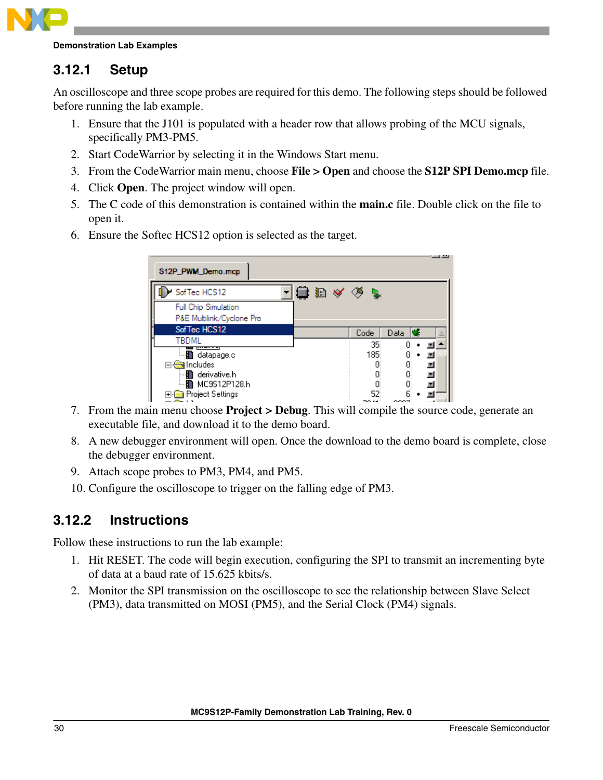

### **3.12.1 Setup**

An oscilloscope and three scope probes are required for this demo. The following steps should be followed before running the lab example.

- 1. Ensure that the J101 is populated with a header row that allows probing of the MCU signals, specifically PM3-PM5.
- 2. Start CodeWarrior by selecting it in the Windows Start menu.
- 3. From the CodeWarrior main menu, choose **File > Open** and choose the **S12P SPI Demo.mcp** file.
- 4. Click **Open**. The project window will open.
- 5. The C code of this demonstration is contained within the **main.c** file. Double click on the file to open it.
- 6. Ensure the Softec HCS12 option is selected as the target.



- 7. From the main menu choose **Project > Debug**. This will compile the source code, generate an executable file, and download it to the demo board.
- 8. A new debugger environment will open. Once the download to the demo board is complete, close the debugger environment.
- 9. Attach scope probes to PM3, PM4, and PM5.
- 10. Configure the oscilloscope to trigger on the falling edge of PM3.

#### **3.12.2 Instructions**

Follow these instructions to run the lab example:

- 1. Hit RESET. The code will begin execution, configuring the SPI to transmit an incrementing byte of data at a baud rate of 15.625 kbits/s.
- 2. Monitor the SPI transmission on the oscilloscope to see the relationship between Slave Select (PM3), data transmitted on MOSI (PM5), and the Serial Clock (PM4) signals.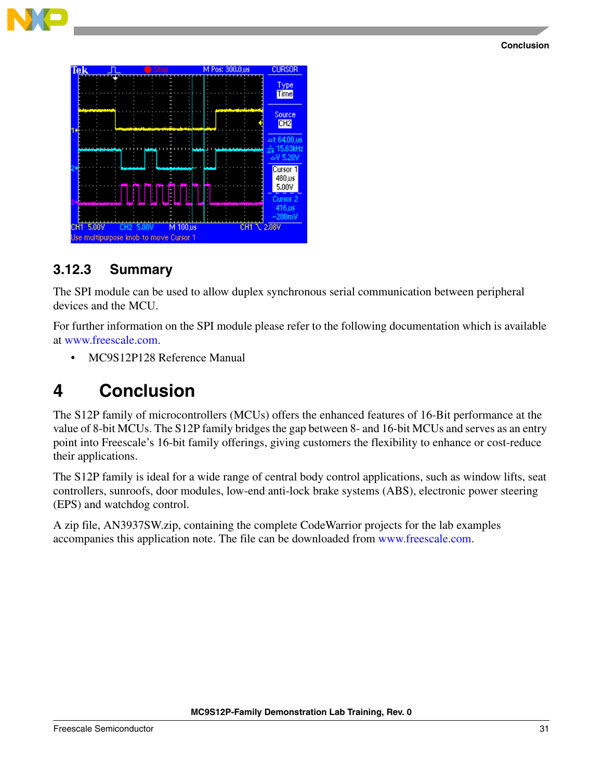#### **Conclusion**





#### **3.12.3 Summary**

The SPI module can be used to allow duplex synchronous serial communication between peripheral devices and the MCU.

[For further information on the SPI module please refer to the following documentation which is available](http://www.freescale.com)  [at w](http://www.freescale.com)ww.freescale.com.

• MC9S12P128 Reference Manual

# <span id="page-30-0"></span>**4 Conclusion**

The S12P family of microcontrollers (MCUs) offers the enhanced features of 16-Bit performance at the value of 8-bit MCUs. The S12P family bridges the gap between 8- and 16-bit MCUs and serves as an entry point into Freescale's 16-bit family offerings, giving customers the flexibility to enhance or cost-reduce their applications.

The S12P family is ideal for a wide range of central body control applications, such as window lifts, seat controllers, sunroofs, door modules, low-end anti-lock brake systems (ABS), electronic power steering (EPS) and watchdog control.

A zip file, AN3937SW.zip, containing the complete CodeWarrior projects for the lab examples accompanies this application note. The file can be downloaded from www.freescale.com.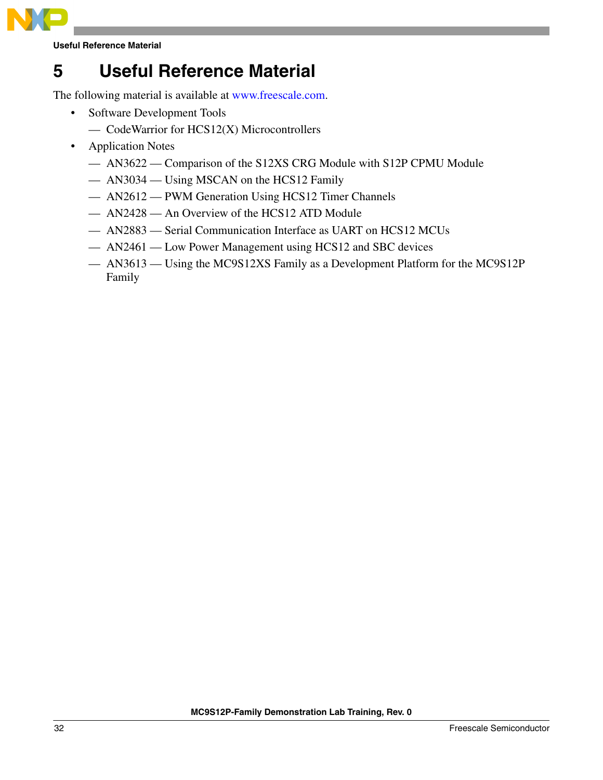

**Useful Reference Material**

# <span id="page-31-0"></span>**5 Useful Reference Material**

The following material is available at www.freescale.com.

- Software Development Tools
	- CodeWarrior for HCS12(X) Microcontrollers
- Application Notes
	- AN3622 Comparison of the S12XS CRG Module with S12P CPMU Module
	- AN3034 Using MSCAN on the HCS12 Family
	- AN2612 PWM Generation Using HCS12 Timer Channels
	- AN2428 An Overview of the HCS12 ATD Module
	- AN2883 Serial Communication Interface as UART on HCS12 MCUs
	- AN2461 Low Power Management using HCS12 and SBC devices
	- AN3613 Using the MC9S12XS Family as a Development Platform for the MC9S12P Family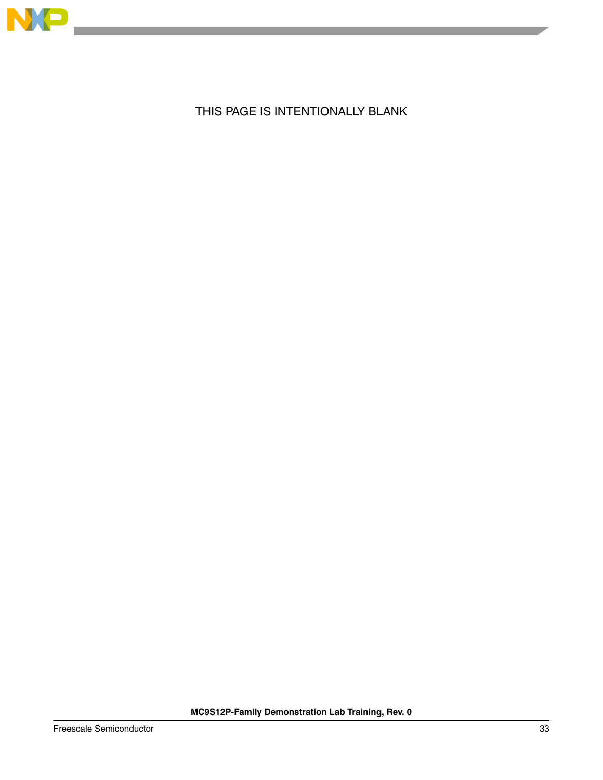

THIS PAGE IS INTENTIONALLY BLANK